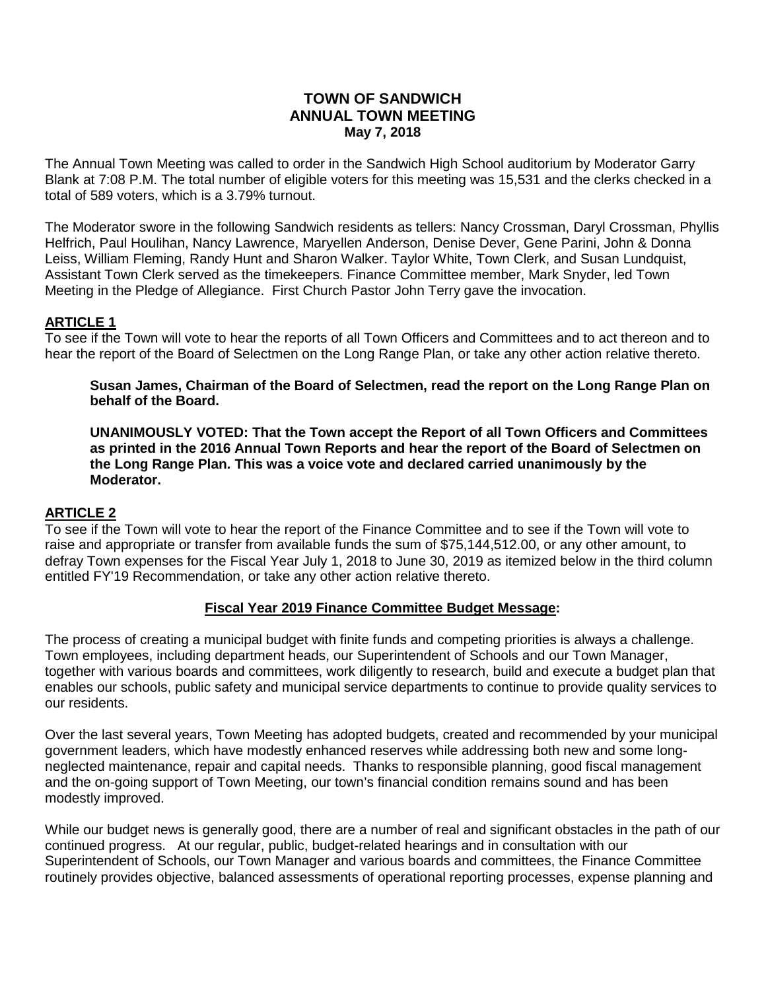## **TOWN OF SANDWICH ANNUAL TOWN MEETING May 7, 2018**

The Annual Town Meeting was called to order in the Sandwich High School auditorium by Moderator Garry Blank at 7:08 P.M. The total number of eligible voters for this meeting was 15,531 and the clerks checked in a total of 589 voters, which is a 3.79% turnout.

The Moderator swore in the following Sandwich residents as tellers: Nancy Crossman, Daryl Crossman, Phyllis Helfrich, Paul Houlihan, Nancy Lawrence, Maryellen Anderson, Denise Dever, Gene Parini, John & Donna Leiss, William Fleming, Randy Hunt and Sharon Walker. Taylor White, Town Clerk, and Susan Lundquist, Assistant Town Clerk served as the timekeepers. Finance Committee member, Mark Snyder, led Town Meeting in the Pledge of Allegiance. First Church Pastor John Terry gave the invocation.

# **ARTICLE 1**

To see if the Town will vote to hear the reports of all Town Officers and Committees and to act thereon and to hear the report of the Board of Selectmen on the Long Range Plan, or take any other action relative thereto.

#### **Susan James, Chairman of the Board of Selectmen, read the report on the Long Range Plan on behalf of the Board.**

**UNANIMOUSLY VOTED: That the Town accept the Report of all Town Officers and Committees as printed in the 2016 Annual Town Reports and hear the report of the Board of Selectmen on the Long Range Plan. This was a voice vote and declared carried unanimously by the Moderator.**

## **ARTICLE 2**

To see if the Town will vote to hear the report of the Finance Committee and to see if the Town will vote to raise and appropriate or transfer from available funds the sum of \$75,144,512.00, or any other amount, to defray Town expenses for the Fiscal Year July 1, 2018 to June 30, 2019 as itemized below in the third column entitled FY'19 Recommendation, or take any other action relative thereto.

## **Fiscal Year 2019 Finance Committee Budget Message:**

The process of creating a municipal budget with finite funds and competing priorities is always a challenge. Town employees, including department heads, our Superintendent of Schools and our Town Manager, together with various boards and committees, work diligently to research, build and execute a budget plan that enables our schools, public safety and municipal service departments to continue to provide quality services to our residents.

Over the last several years, Town Meeting has adopted budgets, created and recommended by your municipal government leaders, which have modestly enhanced reserves while addressing both new and some longneglected maintenance, repair and capital needs. Thanks to responsible planning, good fiscal management and the on-going support of Town Meeting, our town's financial condition remains sound and has been modestly improved.

While our budget news is generally good, there are a number of real and significant obstacles in the path of our continued progress. At our regular, public, budget-related hearings and in consultation with our Superintendent of Schools, our Town Manager and various boards and committees, the Finance Committee routinely provides objective, balanced assessments of operational reporting processes, expense planning and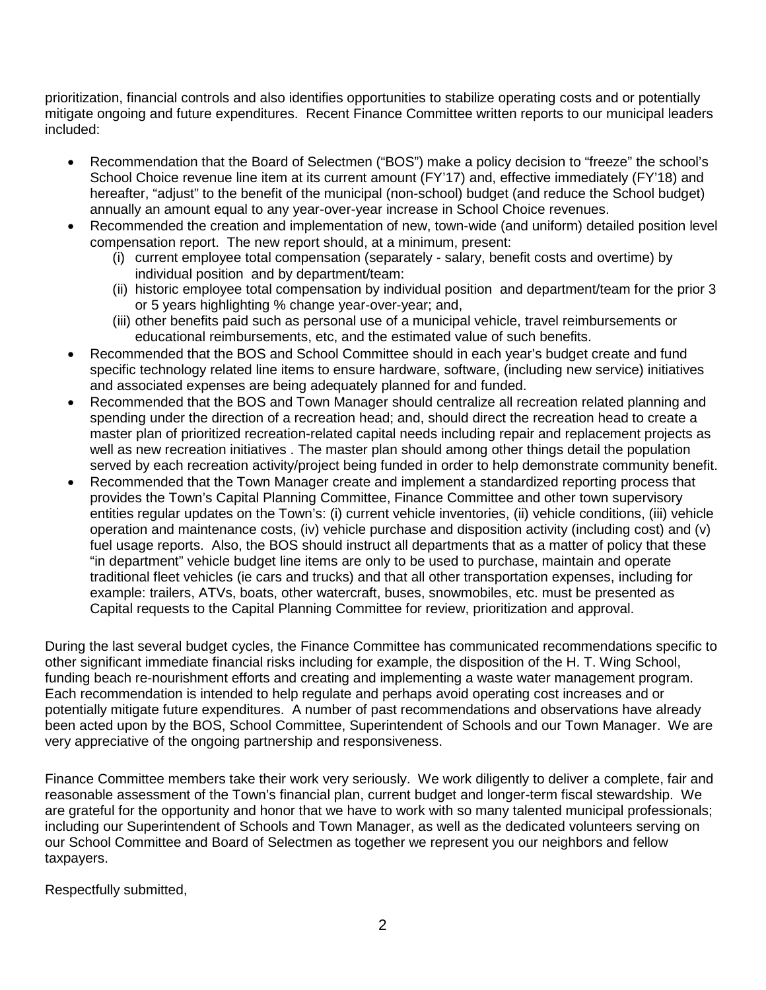prioritization, financial controls and also identifies opportunities to stabilize operating costs and or potentially mitigate ongoing and future expenditures. Recent Finance Committee written reports to our municipal leaders included:

- Recommendation that the Board of Selectmen ("BOS") make a policy decision to "freeze" the school's School Choice revenue line item at its current amount (FY'17) and, effective immediately (FY'18) and hereafter, "adjust" to the benefit of the municipal (non-school) budget (and reduce the School budget) annually an amount equal to any year-over-year increase in School Choice revenues.
- Recommended the creation and implementation of new, town-wide (and uniform) detailed position level compensation report. The new report should, at a minimum, present:
	- (i) current employee total compensation (separately salary, benefit costs and overtime) by individual position and by department/team:
	- (ii) historic employee total compensation by individual position and department/team for the prior 3 or 5 years highlighting % change year-over-year; and,
	- (iii) other benefits paid such as personal use of a municipal vehicle, travel reimbursements or educational reimbursements, etc, and the estimated value of such benefits.
- Recommended that the BOS and School Committee should in each year's budget create and fund specific technology related line items to ensure hardware, software, (including new service) initiatives and associated expenses are being adequately planned for and funded.
- Recommended that the BOS and Town Manager should centralize all recreation related planning and spending under the direction of a recreation head; and, should direct the recreation head to create a master plan of prioritized recreation-related capital needs including repair and replacement projects as well as new recreation initiatives . The master plan should among other things detail the population served by each recreation activity/project being funded in order to help demonstrate community benefit.
- Recommended that the Town Manager create and implement a standardized reporting process that provides the Town's Capital Planning Committee, Finance Committee and other town supervisory entities regular updates on the Town's: (i) current vehicle inventories, (ii) vehicle conditions, (iii) vehicle operation and maintenance costs, (iv) vehicle purchase and disposition activity (including cost) and (v) fuel usage reports. Also, the BOS should instruct all departments that as a matter of policy that these "in department" vehicle budget line items are only to be used to purchase, maintain and operate traditional fleet vehicles (ie cars and trucks) and that all other transportation expenses, including for example: trailers, ATVs, boats, other watercraft, buses, snowmobiles, etc. must be presented as Capital requests to the Capital Planning Committee for review, prioritization and approval.

During the last several budget cycles, the Finance Committee has communicated recommendations specific to other significant immediate financial risks including for example, the disposition of the H. T. Wing School, funding beach re-nourishment efforts and creating and implementing a waste water management program. Each recommendation is intended to help regulate and perhaps avoid operating cost increases and or potentially mitigate future expenditures. A number of past recommendations and observations have already been acted upon by the BOS, School Committee, Superintendent of Schools and our Town Manager. We are very appreciative of the ongoing partnership and responsiveness.

Finance Committee members take their work very seriously. We work diligently to deliver a complete, fair and reasonable assessment of the Town's financial plan, current budget and longer-term fiscal stewardship. We are grateful for the opportunity and honor that we have to work with so many talented municipal professionals; including our Superintendent of Schools and Town Manager, as well as the dedicated volunteers serving on our School Committee and Board of Selectmen as together we represent you our neighbors and fellow taxpayers.

Respectfully submitted,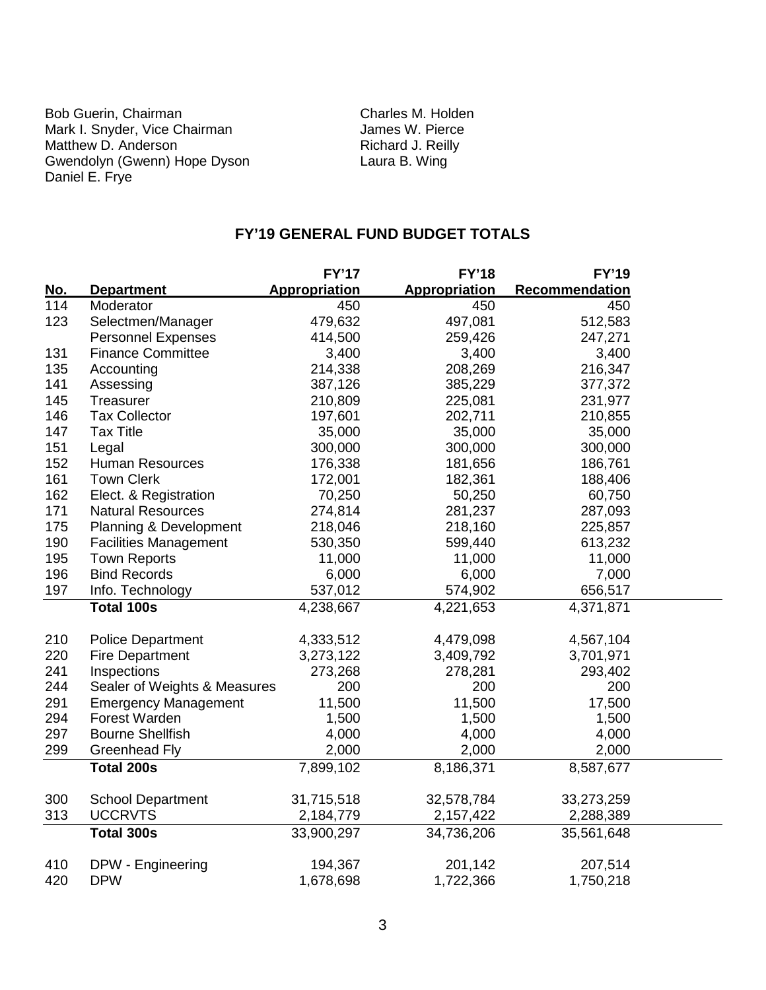Bob Guerin, Chairman Charles M. Holden<br>
Mark I. Snyder, Vice Chairman Charles W. Pierce Mark I. Snyder, Vice Chairman **James W. Pierce Matthew D. Anderson**<br>Matthew D. Anderson **James W. Pierce** Matthew D. Anderson **Richard J. Reill**<br>
Gwendolyn (Gwenn) Hope Dyson **Richard J. Reill**<br>
Laura B. Wing Gwendolyn (Gwenn) Hope Dyson Laura B. Wing Daniel E. Frye

## **FY'19 GENERAL FUND BUDGET TOTALS**

|            |                              | <b>FY'17</b>  | <b>FY'18</b>         | <b>FY'19</b>   |
|------------|------------------------------|---------------|----------------------|----------------|
| <u>No.</u> | <b>Department</b>            | Appropriation | <b>Appropriation</b> | Recommendation |
| 114        | Moderator                    | 450           | 450                  | 450            |
| 123        | Selectmen/Manager            | 479,632       | 497,081              | 512,583        |
|            | <b>Personnel Expenses</b>    | 414,500       | 259,426              | 247,271        |
| 131        | <b>Finance Committee</b>     | 3,400         | 3,400                | 3,400          |
| 135        | Accounting                   | 214,338       | 208,269              | 216,347        |
| 141        | Assessing                    | 387,126       | 385,229              | 377,372        |
| 145        | Treasurer                    | 210,809       | 225,081              | 231,977        |
| 146        | <b>Tax Collector</b>         | 197,601       | 202,711              | 210,855        |
| 147        | <b>Tax Title</b>             | 35,000        | 35,000               | 35,000         |
| 151        | Legal                        | 300,000       | 300,000              | 300,000        |
| 152        | <b>Human Resources</b>       | 176,338       | 181,656              | 186,761        |
| 161        | <b>Town Clerk</b>            | 172,001       | 182,361              | 188,406        |
| 162        | Elect. & Registration        | 70,250        | 50,250               | 60,750         |
| 171        | <b>Natural Resources</b>     | 274,814       | 281,237              | 287,093        |
| 175        | Planning & Development       | 218,046       | 218,160              | 225,857        |
| 190        | <b>Facilities Management</b> | 530,350       | 599,440              | 613,232        |
| 195        | <b>Town Reports</b>          | 11,000        | 11,000               | 11,000         |
| 196        | <b>Bind Records</b>          | 6,000         | 6,000                | 7,000          |
| 197        | Info. Technology             | 537,012       | 574,902              | 656,517        |
|            | <b>Total 100s</b>            | 4,238,667     | 4,221,653            | 4,371,871      |
|            |                              |               |                      |                |
| 210        | <b>Police Department</b>     | 4,333,512     | 4,479,098            | 4,567,104      |
| 220        | <b>Fire Department</b>       | 3,273,122     | 3,409,792            | 3,701,971      |
| 241        | Inspections                  | 273,268       | 278,281              | 293,402        |
| 244        | Sealer of Weights & Measures | 200           | 200                  | 200            |
| 291        | <b>Emergency Management</b>  | 11,500        | 11,500               | 17,500         |
| 294        | Forest Warden                | 1,500         | 1,500                | 1,500          |
| 297        | <b>Bourne Shellfish</b>      | 4,000         | 4,000                | 4,000          |
| 299        | <b>Greenhead Fly</b>         | 2,000         | 2,000                | 2,000          |
|            | <b>Total 200s</b>            | 7,899,102     | 8,186,371            | 8,587,677      |
|            |                              |               |                      |                |
| 300        | <b>School Department</b>     | 31,715,518    | 32,578,784           | 33,273,259     |
| 313        | <b>UCCRVTS</b>               | 2,184,779     | 2,157,422            | 2,288,389      |
|            | Total 300s                   | 33,900,297    | 34,736,206           | 35,561,648     |
| 410        | DPW - Engineering            | 194,367       | 201,142              | 207,514        |
| 420        | <b>DPW</b>                   | 1,678,698     | 1,722,366            | 1,750,218      |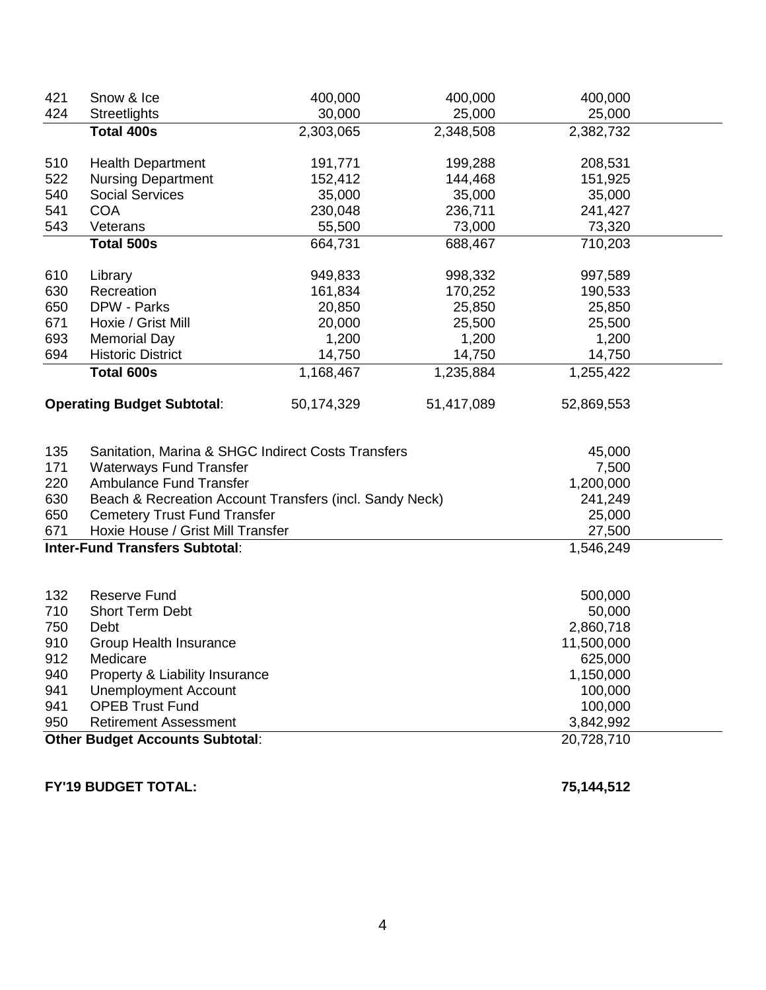| 421 | Snow & Ice                                              | 400,000    | 400,000    | 400,000    |  |  |
|-----|---------------------------------------------------------|------------|------------|------------|--|--|
| 424 | Streetlights                                            | 30,000     | 25,000     | 25,000     |  |  |
|     | <b>Total 400s</b>                                       | 2,303,065  | 2,348,508  | 2,382,732  |  |  |
| 510 | <b>Health Department</b>                                | 191,771    | 199,288    | 208,531    |  |  |
| 522 | <b>Nursing Department</b>                               | 152,412    | 144,468    | 151,925    |  |  |
| 540 | <b>Social Services</b>                                  | 35,000     | 35,000     | 35,000     |  |  |
| 541 | <b>COA</b>                                              | 230,048    | 236,711    | 241,427    |  |  |
| 543 | Veterans                                                | 55,500     | 73,000     | 73,320     |  |  |
|     | <b>Total 500s</b>                                       | 664,731    | 688,467    | 710,203    |  |  |
| 610 | Library                                                 | 949,833    | 998,332    | 997,589    |  |  |
| 630 | Recreation                                              | 161,834    | 170,252    | 190,533    |  |  |
| 650 | DPW - Parks                                             | 20,850     | 25,850     | 25,850     |  |  |
| 671 | Hoxie / Grist Mill                                      | 20,000     | 25,500     | 25,500     |  |  |
| 693 | <b>Memorial Day</b>                                     | 1,200      | 1,200      | 1,200      |  |  |
| 694 | <b>Historic District</b>                                | 14,750     | 14,750     | 14,750     |  |  |
|     | Total 600s                                              | 1,168,467  | 1,235,884  | 1,255,422  |  |  |
|     | <b>Operating Budget Subtotal:</b>                       | 50,174,329 | 51,417,089 | 52,869,553 |  |  |
| 135 | Sanitation, Marina & SHGC Indirect Costs Transfers      |            |            | 45,000     |  |  |
| 171 | <b>Waterways Fund Transfer</b>                          |            |            | 7,500      |  |  |
| 220 | Ambulance Fund Transfer                                 |            |            | 1,200,000  |  |  |
| 630 | Beach & Recreation Account Transfers (incl. Sandy Neck) |            |            | 241,249    |  |  |
| 650 | <b>Cemetery Trust Fund Transfer</b>                     |            |            | 25,000     |  |  |
| 671 | Hoxie House / Grist Mill Transfer                       |            |            | 27,500     |  |  |
|     | <b>Inter-Fund Transfers Subtotal:</b>                   |            |            | 1,546,249  |  |  |
|     |                                                         |            |            |            |  |  |
| 132 | <b>Reserve Fund</b>                                     |            |            | 500,000    |  |  |
| 710 | <b>Short Term Debt</b>                                  |            |            | 50,000     |  |  |
| 750 | Debt                                                    |            |            | 2,860,718  |  |  |
| 910 | Group Health Insurance                                  |            |            | 11,500,000 |  |  |
| 912 | Medicare                                                |            |            | 625,000    |  |  |
| 940 | Property & Liability Insurance                          |            |            | 1,150,000  |  |  |
| 941 | <b>Unemployment Account</b>                             |            |            | 100,000    |  |  |
| 941 | <b>OPEB Trust Fund</b>                                  |            |            | 100,000    |  |  |
| 950 | <b>Retirement Assessment</b><br>3,842,992               |            |            |            |  |  |
|     | <b>Other Budget Accounts Subtotal:</b><br>20,728,710    |            |            |            |  |  |

**FY'19 BUDGET TOTAL: 75,144,512**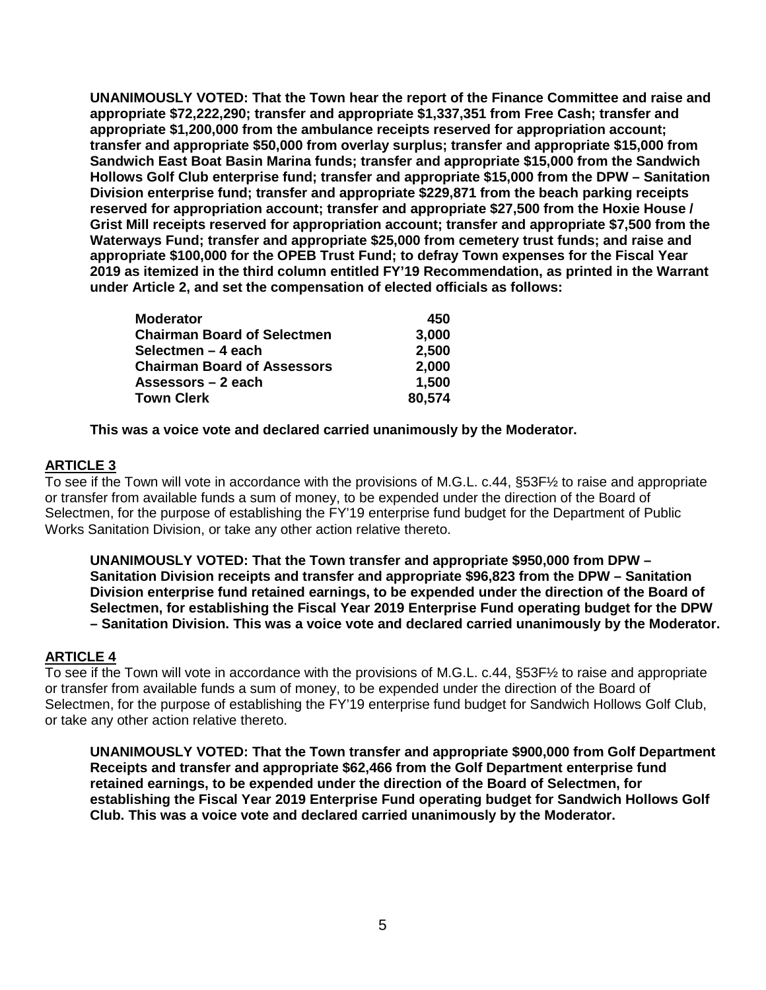**UNANIMOUSLY VOTED: That the Town hear the report of the Finance Committee and raise and appropriate \$72,222,290; transfer and appropriate \$1,337,351 from Free Cash; transfer and appropriate \$1,200,000 from the ambulance receipts reserved for appropriation account; transfer and appropriate \$50,000 from overlay surplus; transfer and appropriate \$15,000 from Sandwich East Boat Basin Marina funds; transfer and appropriate \$15,000 from the Sandwich Hollows Golf Club enterprise fund; transfer and appropriate \$15,000 from the DPW – Sanitation Division enterprise fund; transfer and appropriate \$229,871 from the beach parking receipts reserved for appropriation account; transfer and appropriate \$27,500 from the Hoxie House / Grist Mill receipts reserved for appropriation account; transfer and appropriate \$7,500 from the Waterways Fund; transfer and appropriate \$25,000 from cemetery trust funds; and raise and appropriate \$100,000 for the OPEB Trust Fund; to defray Town expenses for the Fiscal Year 2019 as itemized in the third column entitled FY'19 Recommendation, as printed in the Warrant under Article 2, and set the compensation of elected officials as follows:**

| <b>Moderator</b>                   | 450    |
|------------------------------------|--------|
| <b>Chairman Board of Selectmen</b> | 3,000  |
| Selectmen – 4 each                 | 2,500  |
| <b>Chairman Board of Assessors</b> | 2,000  |
| Assessors – 2 each                 | 1,500  |
| <b>Town Clerk</b>                  | 80,574 |

**This was a voice vote and declared carried unanimously by the Moderator.**

## **ARTICLE 3**

To see if the Town will vote in accordance with the provisions of M.G.L. c.44, §53F½ to raise and appropriate or transfer from available funds a sum of money, to be expended under the direction of the Board of Selectmen, for the purpose of establishing the FY'19 enterprise fund budget for the Department of Public Works Sanitation Division, or take any other action relative thereto.

**UNANIMOUSLY VOTED: That the Town transfer and appropriate \$950,000 from DPW – Sanitation Division receipts and transfer and appropriate \$96,823 from the DPW – Sanitation Division enterprise fund retained earnings, to be expended under the direction of the Board of Selectmen, for establishing the Fiscal Year 2019 Enterprise Fund operating budget for the DPW – Sanitation Division. This was a voice vote and declared carried unanimously by the Moderator.**

## **ARTICLE 4**

To see if the Town will vote in accordance with the provisions of M.G.L. c.44, §53F½ to raise and appropriate or transfer from available funds a sum of money, to be expended under the direction of the Board of Selectmen, for the purpose of establishing the FY'19 enterprise fund budget for Sandwich Hollows Golf Club, or take any other action relative thereto.

**UNANIMOUSLY VOTED: That the Town transfer and appropriate \$900,000 from Golf Department Receipts and transfer and appropriate \$62,466 from the Golf Department enterprise fund retained earnings, to be expended under the direction of the Board of Selectmen, for establishing the Fiscal Year 2019 Enterprise Fund operating budget for Sandwich Hollows Golf Club. This was a voice vote and declared carried unanimously by the Moderator.**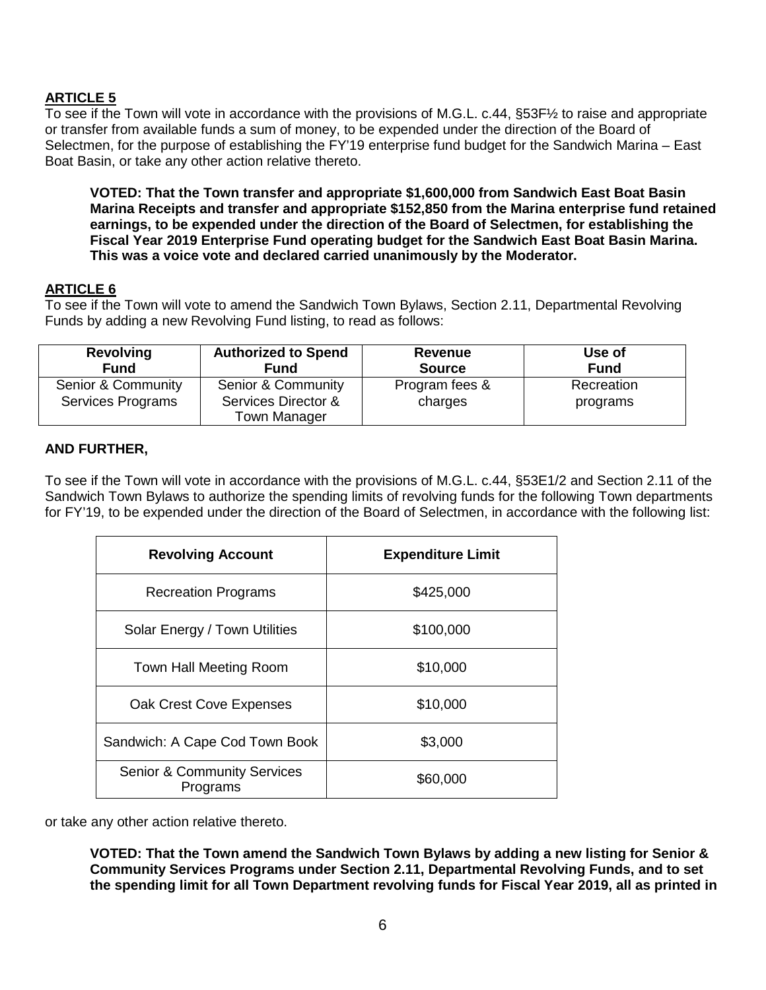# **ARTICLE 5**

To see if the Town will vote in accordance with the provisions of M.G.L. c.44, §53F½ to raise and appropriate or transfer from available funds a sum of money, to be expended under the direction of the Board of Selectmen, for the purpose of establishing the FY'19 enterprise fund budget for the Sandwich Marina – East Boat Basin, or take any other action relative thereto.

**VOTED: That the Town transfer and appropriate \$1,600,000 from Sandwich East Boat Basin Marina Receipts and transfer and appropriate \$152,850 from the Marina enterprise fund retained earnings, to be expended under the direction of the Board of Selectmen, for establishing the Fiscal Year 2019 Enterprise Fund operating budget for the Sandwich East Boat Basin Marina. This was a voice vote and declared carried unanimously by the Moderator.**

# **ARTICLE 6**

To see if the Town will vote to amend the Sandwich Town Bylaws, Section 2.11, Departmental Revolving Funds by adding a new Revolving Fund listing, to read as follows:

| <b>Revolving</b>                        | <b>Authorized to Spend</b>                                       | Revenue                   | Use of                 |
|-----------------------------------------|------------------------------------------------------------------|---------------------------|------------------------|
| <b>Fund</b>                             | <b>Fund</b>                                                      | <b>Source</b>             | <b>Fund</b>            |
| Senior & Community<br>Services Programs | Senior & Community<br>Services Director &<br><b>Town Manager</b> | Program fees &<br>charges | Recreation<br>programs |

## **AND FURTHER,**

To see if the Town will vote in accordance with the provisions of M.G.L. c.44, §53E1/2 and Section 2.11 of the Sandwich Town Bylaws to authorize the spending limits of revolving funds for the following Town departments for FY'19, to be expended under the direction of the Board of Selectmen, in accordance with the following list:

| <b>Revolving Account</b>                           | <b>Expenditure Limit</b> |  |
|----------------------------------------------------|--------------------------|--|
| <b>Recreation Programs</b>                         | \$425,000                |  |
| Solar Energy / Town Utilities                      | \$100,000                |  |
| Town Hall Meeting Room                             | \$10,000                 |  |
| Oak Crest Cove Expenses                            | \$10,000                 |  |
| Sandwich: A Cape Cod Town Book                     | \$3,000                  |  |
| <b>Senior &amp; Community Services</b><br>Programs | \$60,000                 |  |

or take any other action relative thereto.

**VOTED: That the Town amend the Sandwich Town Bylaws by adding a new listing for Senior & Community Services Programs under Section 2.11, Departmental Revolving Funds, and to set the spending limit for all Town Department revolving funds for Fiscal Year 2019, all as printed in**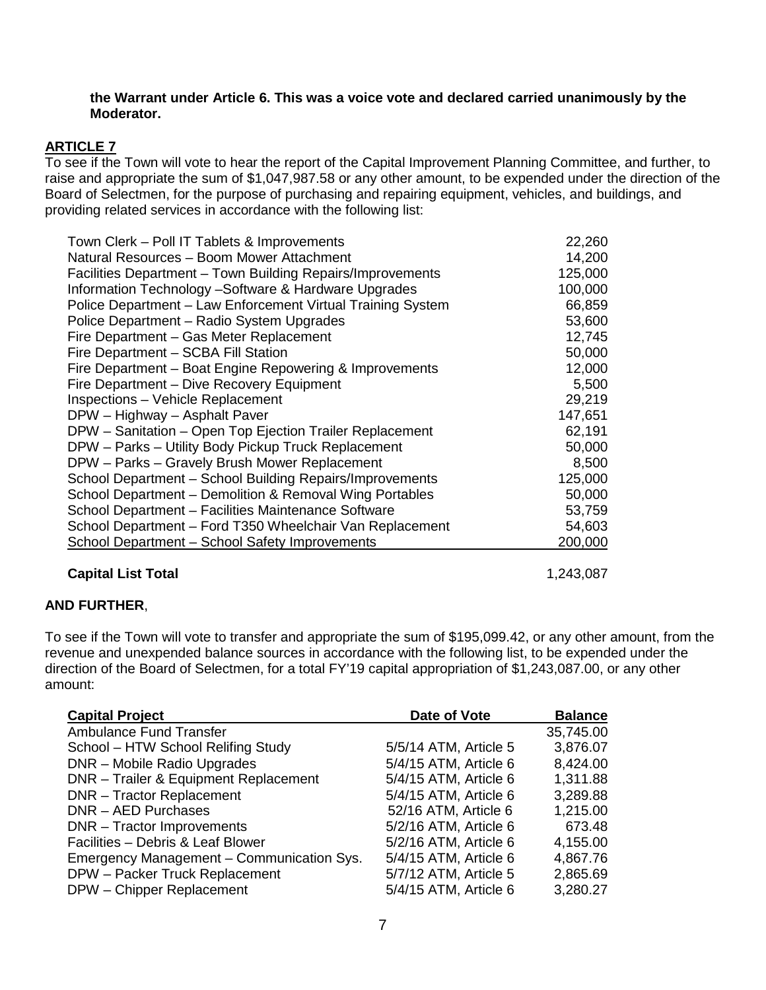#### **the Warrant under Article 6. This was a voice vote and declared carried unanimously by the Moderator.**

## **ARTICLE 7**

To see if the Town will vote to hear the report of the Capital Improvement Planning Committee, and further, to raise and appropriate the sum of \$1,047,987.58 or any other amount, to be expended under the direction of the Board of Selectmen, for the purpose of purchasing and repairing equipment, vehicles, and buildings, and providing related services in accordance with the following list:

| Town Clerk - Poll IT Tablets & Improvements                 | 22,260  |
|-------------------------------------------------------------|---------|
| Natural Resources - Boom Mower Attachment                   | 14,200  |
| Facilities Department – Town Building Repairs/Improvements  | 125,000 |
| Information Technology -Software & Hardware Upgrades        | 100,000 |
| Police Department - Law Enforcement Virtual Training System | 66,859  |
| Police Department - Radio System Upgrades                   | 53,600  |
| Fire Department - Gas Meter Replacement                     | 12,745  |
| Fire Department - SCBA Fill Station                         | 50,000  |
| Fire Department - Boat Engine Repowering & Improvements     | 12,000  |
| Fire Department - Dive Recovery Equipment                   | 5,500   |
| <b>Inspections - Vehicle Replacement</b>                    | 29,219  |
| DPW - Highway - Asphalt Paver                               | 147,651 |
| DPW - Sanitation - Open Top Ejection Trailer Replacement    | 62,191  |
| DPW - Parks - Utility Body Pickup Truck Replacement         | 50,000  |
| DPW - Parks - Gravely Brush Mower Replacement               | 8,500   |
| School Department - School Building Repairs/Improvements    | 125,000 |
| School Department - Demolition & Removal Wing Portables     | 50,000  |
| School Department - Facilities Maintenance Software         | 53,759  |
| School Department - Ford T350 Wheelchair Van Replacement    | 54,603  |
| <b>School Department - School Safety Improvements</b>       | 200,000 |
|                                                             |         |

## **Capital List Total** 1,243,087

# **AND FURTHER**,

To see if the Town will vote to transfer and appropriate the sum of \$195,099.42, or any other amount, from the revenue and unexpended balance sources in accordance with the following list, to be expended under the direction of the Board of Selectmen, for a total FY'19 capital appropriation of \$1,243,087.00, or any other amount:

| <b>Capital Project</b>                    | Date of Vote          | <b>Balance</b> |
|-------------------------------------------|-----------------------|----------------|
| <b>Ambulance Fund Transfer</b>            |                       | 35,745.00      |
| School - HTW School Relifing Study        | 5/5/14 ATM, Article 5 | 3,876.07       |
| DNR - Mobile Radio Upgrades               | 5/4/15 ATM, Article 6 | 8,424.00       |
| DNR - Trailer & Equipment Replacement     | 5/4/15 ATM, Article 6 | 1,311.88       |
| <b>DNR</b> - Tractor Replacement          | 5/4/15 ATM, Article 6 | 3,289.88       |
| DNR - AED Purchases                       | 52/16 ATM, Article 6  | 1,215.00       |
| DNR - Tractor Improvements                | 5/2/16 ATM, Article 6 | 673.48         |
| Facilities - Debris & Leaf Blower         | 5/2/16 ATM, Article 6 | 4,155.00       |
| Emergency Management - Communication Sys. | 5/4/15 ATM, Article 6 | 4,867.76       |
| DPW - Packer Truck Replacement            | 5/7/12 ATM, Article 5 | 2,865.69       |
| DPW - Chipper Replacement                 | 5/4/15 ATM, Article 6 | 3,280.27       |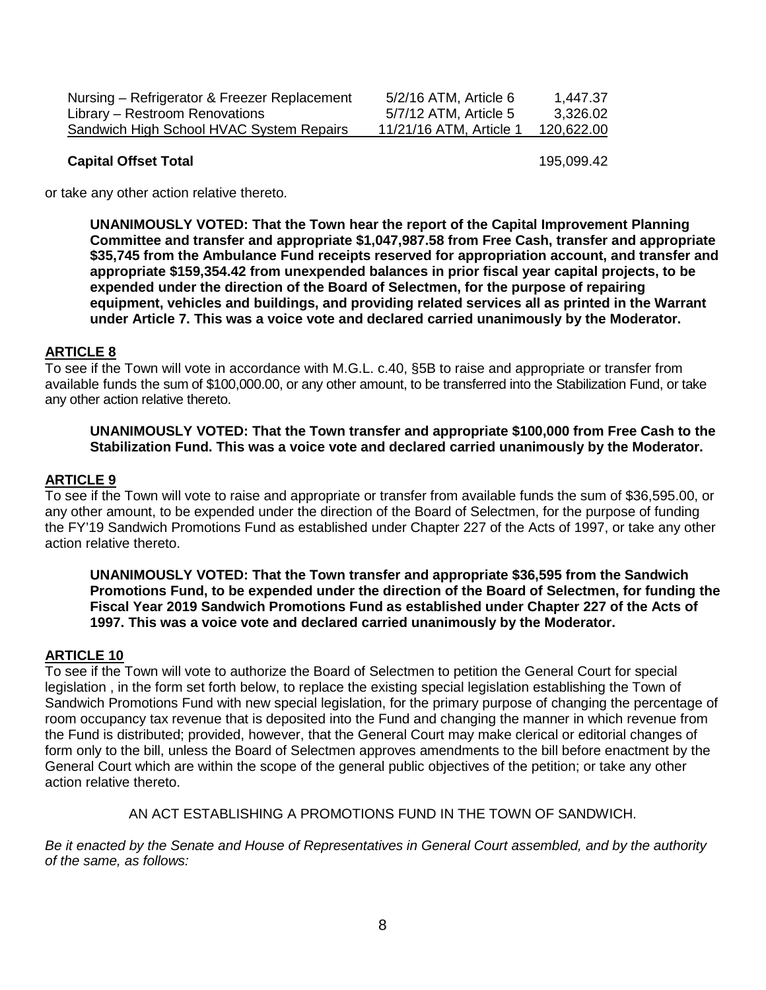| Nursing – Refrigerator & Freezer Replacement | 5/2/16 ATM, Article 6 | 1.447.37   |
|----------------------------------------------|-----------------------|------------|
| Library – Restroom Renovations               | 5/7/12 ATM, Article 5 | 3.326.02   |
| Sandwich High School HVAC System Repairs     | 11/21/16 ATM. Article | 120.622.00 |
|                                              |                       |            |

#### **Capital Offset Total** 195,099.42

or take any other action relative thereto.

**UNANIMOUSLY VOTED: That the Town hear the report of the Capital Improvement Planning Committee and transfer and appropriate \$1,047,987.58 from Free Cash, transfer and appropriate \$35,745 from the Ambulance Fund receipts reserved for appropriation account, and transfer and appropriate \$159,354.42 from unexpended balances in prior fiscal year capital projects, to be expended under the direction of the Board of Selectmen, for the purpose of repairing equipment, vehicles and buildings, and providing related services all as printed in the Warrant under Article 7. This was a voice vote and declared carried unanimously by the Moderator.**

#### **ARTICLE 8**

To see if the Town will vote in accordance with M.G.L. c.40, §5B to raise and appropriate or transfer from available funds the sum of \$100,000.00, or any other amount, to be transferred into the Stabilization Fund, or take any other action relative thereto.

#### **UNANIMOUSLY VOTED: That the Town transfer and appropriate \$100,000 from Free Cash to the Stabilization Fund. This was a voice vote and declared carried unanimously by the Moderator.**

#### **ARTICLE 9**

To see if the Town will vote to raise and appropriate or transfer from available funds the sum of \$36,595.00, or any other amount, to be expended under the direction of the Board of Selectmen, for the purpose of funding the FY'19 Sandwich Promotions Fund as established under Chapter 227 of the Acts of 1997, or take any other action relative thereto.

**UNANIMOUSLY VOTED: That the Town transfer and appropriate \$36,595 from the Sandwich Promotions Fund, to be expended under the direction of the Board of Selectmen, for funding the Fiscal Year 2019 Sandwich Promotions Fund as established under Chapter 227 of the Acts of 1997. This was a voice vote and declared carried unanimously by the Moderator.**

#### **ARTICLE 10**

To see if the Town will vote to authorize the Board of Selectmen to petition the General Court for special legislation , in the form set forth below, to replace the existing special legislation establishing the Town of Sandwich Promotions Fund with new special legislation, for the primary purpose of changing the percentage of room occupancy tax revenue that is deposited into the Fund and changing the manner in which revenue from the Fund is distributed; provided, however, that the General Court may make clerical or editorial changes of form only to the bill, unless the Board of Selectmen approves amendments to the bill before enactment by the General Court which are within the scope of the general public objectives of the petition; or take any other action relative thereto.

AN ACT ESTABLISHING A PROMOTIONS FUND IN THE TOWN OF SANDWICH.

*Be it enacted by the Senate and House of Representatives in General Court assembled, and by the authority of the same, as follows:*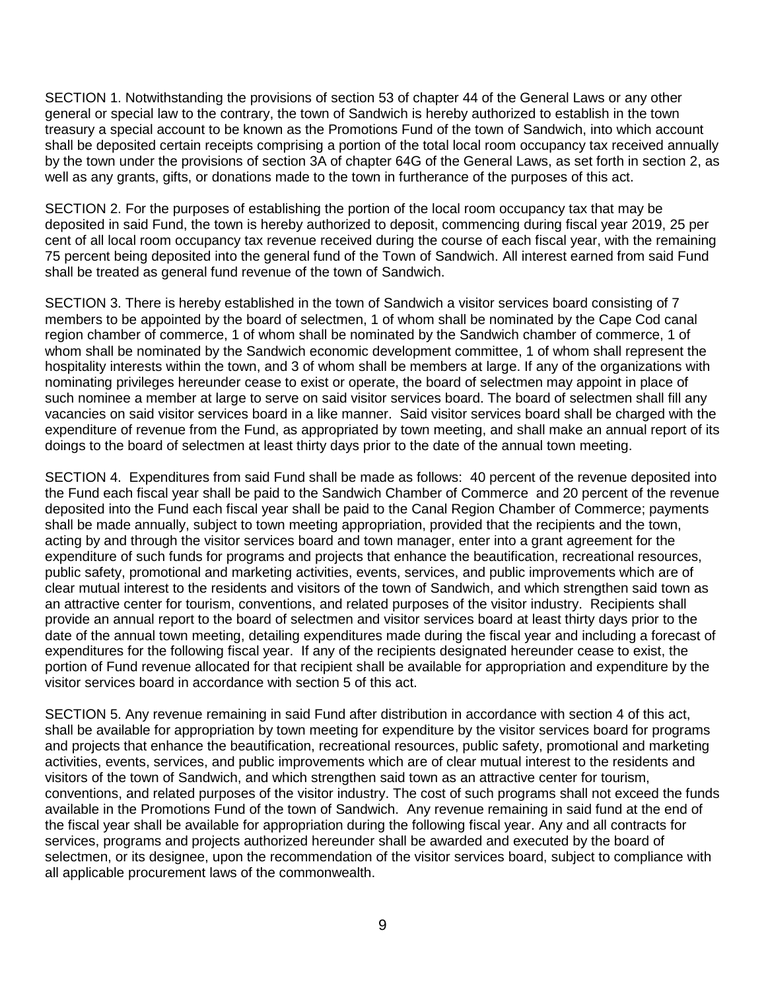SECTION 1. Notwithstanding the provisions of section 53 of chapter 44 of the General Laws or any other general or special law to the contrary, the town of Sandwich is hereby authorized to establish in the town treasury a special account to be known as the Promotions Fund of the town of Sandwich, into which account shall be deposited certain receipts comprising a portion of the total local room occupancy tax received annually by the town under the provisions of section 3A of chapter 64G of the General Laws, as set forth in section 2, as well as any grants, gifts, or donations made to the town in furtherance of the purposes of this act.

SECTION 2. For the purposes of establishing the portion of the local room occupancy tax that may be deposited in said Fund, the town is hereby authorized to deposit, commencing during fiscal year 2019, 25 per cent of all local room occupancy tax revenue received during the course of each fiscal year, with the remaining 75 percent being deposited into the general fund of the Town of Sandwich. All interest earned from said Fund shall be treated as general fund revenue of the town of Sandwich.

SECTION 3. There is hereby established in the town of Sandwich a visitor services board consisting of 7 members to be appointed by the board of selectmen, 1 of whom shall be nominated by the Cape Cod canal region chamber of commerce, 1 of whom shall be nominated by the Sandwich chamber of commerce, 1 of whom shall be nominated by the Sandwich economic development committee, 1 of whom shall represent the hospitality interests within the town, and 3 of whom shall be members at large. If any of the organizations with nominating privileges hereunder cease to exist or operate, the board of selectmen may appoint in place of such nominee a member at large to serve on said visitor services board. The board of selectmen shall fill any vacancies on said visitor services board in a like manner. Said visitor services board shall be charged with the expenditure of revenue from the Fund, as appropriated by town meeting, and shall make an annual report of its doings to the board of selectmen at least thirty days prior to the date of the annual town meeting.

SECTION 4. Expenditures from said Fund shall be made as follows: 40 percent of the revenue deposited into the Fund each fiscal year shall be paid to the Sandwich Chamber of Commerce and 20 percent of the revenue deposited into the Fund each fiscal year shall be paid to the Canal Region Chamber of Commerce; payments shall be made annually, subject to town meeting appropriation, provided that the recipients and the town, acting by and through the visitor services board and town manager, enter into a grant agreement for the expenditure of such funds for programs and projects that enhance the beautification, recreational resources, public safety, promotional and marketing activities, events, services, and public improvements which are of clear mutual interest to the residents and visitors of the town of Sandwich, and which strengthen said town as an attractive center for tourism, conventions, and related purposes of the visitor industry. Recipients shall provide an annual report to the board of selectmen and visitor services board at least thirty days prior to the date of the annual town meeting, detailing expenditures made during the fiscal year and including a forecast of expenditures for the following fiscal year. If any of the recipients designated hereunder cease to exist, the portion of Fund revenue allocated for that recipient shall be available for appropriation and expenditure by the visitor services board in accordance with section 5 of this act.

SECTION 5. Any revenue remaining in said Fund after distribution in accordance with section 4 of this act, shall be available for appropriation by town meeting for expenditure by the visitor services board for programs and projects that enhance the beautification, recreational resources, public safety, promotional and marketing activities, events, services, and public improvements which are of clear mutual interest to the residents and visitors of the town of Sandwich, and which strengthen said town as an attractive center for tourism, conventions, and related purposes of the visitor industry. The cost of such programs shall not exceed the funds available in the Promotions Fund of the town of Sandwich. Any revenue remaining in said fund at the end of the fiscal year shall be available for appropriation during the following fiscal year. Any and all contracts for services, programs and projects authorized hereunder shall be awarded and executed by the board of selectmen, or its designee, upon the recommendation of the visitor services board, subject to compliance with all applicable procurement laws of the commonwealth.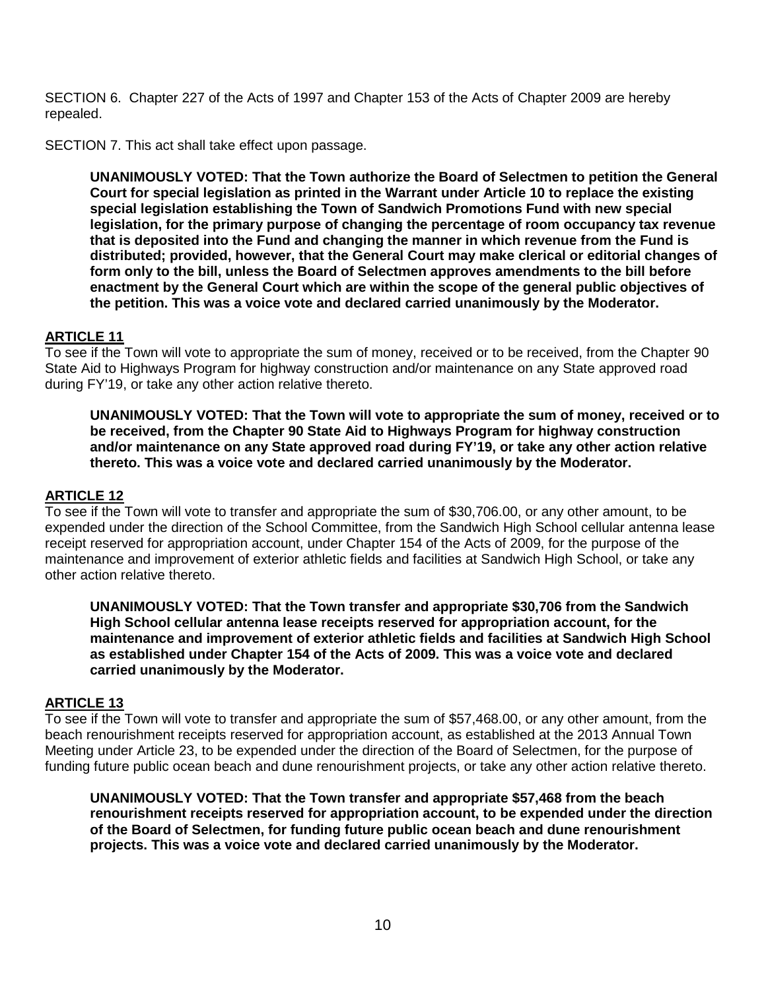SECTION 6. Chapter 227 of the Acts of 1997 and Chapter 153 of the Acts of Chapter 2009 are hereby repealed.

SECTION 7. This act shall take effect upon passage.

**UNANIMOUSLY VOTED: That the Town authorize the Board of Selectmen to petition the General Court for special legislation as printed in the Warrant under Article 10 to replace the existing special legislation establishing the Town of Sandwich Promotions Fund with new special legislation, for the primary purpose of changing the percentage of room occupancy tax revenue that is deposited into the Fund and changing the manner in which revenue from the Fund is distributed; provided, however, that the General Court may make clerical or editorial changes of form only to the bill, unless the Board of Selectmen approves amendments to the bill before enactment by the General Court which are within the scope of the general public objectives of the petition. This was a voice vote and declared carried unanimously by the Moderator.**

## **ARTICLE 11**

To see if the Town will vote to appropriate the sum of money, received or to be received, from the Chapter 90 State Aid to Highways Program for highway construction and/or maintenance on any State approved road during FY'19, or take any other action relative thereto.

**UNANIMOUSLY VOTED: That the Town will vote to appropriate the sum of money, received or to be received, from the Chapter 90 State Aid to Highways Program for highway construction and/or maintenance on any State approved road during FY'19, or take any other action relative thereto. This was a voice vote and declared carried unanimously by the Moderator.**

#### **ARTICLE 12**

To see if the Town will vote to transfer and appropriate the sum of \$30,706.00, or any other amount, to be expended under the direction of the School Committee, from the Sandwich High School cellular antenna lease receipt reserved for appropriation account, under Chapter 154 of the Acts of 2009, for the purpose of the maintenance and improvement of exterior athletic fields and facilities at Sandwich High School, or take any other action relative thereto.

**UNANIMOUSLY VOTED: That the Town transfer and appropriate \$30,706 from the Sandwich High School cellular antenna lease receipts reserved for appropriation account, for the maintenance and improvement of exterior athletic fields and facilities at Sandwich High School as established under Chapter 154 of the Acts of 2009. This was a voice vote and declared carried unanimously by the Moderator.**

#### **ARTICLE 13**

To see if the Town will vote to transfer and appropriate the sum of \$57,468.00, or any other amount, from the beach renourishment receipts reserved for appropriation account, as established at the 2013 Annual Town Meeting under Article 23, to be expended under the direction of the Board of Selectmen, for the purpose of funding future public ocean beach and dune renourishment projects, or take any other action relative thereto.

**UNANIMOUSLY VOTED: That the Town transfer and appropriate \$57,468 from the beach renourishment receipts reserved for appropriation account, to be expended under the direction of the Board of Selectmen, for funding future public ocean beach and dune renourishment projects. This was a voice vote and declared carried unanimously by the Moderator.**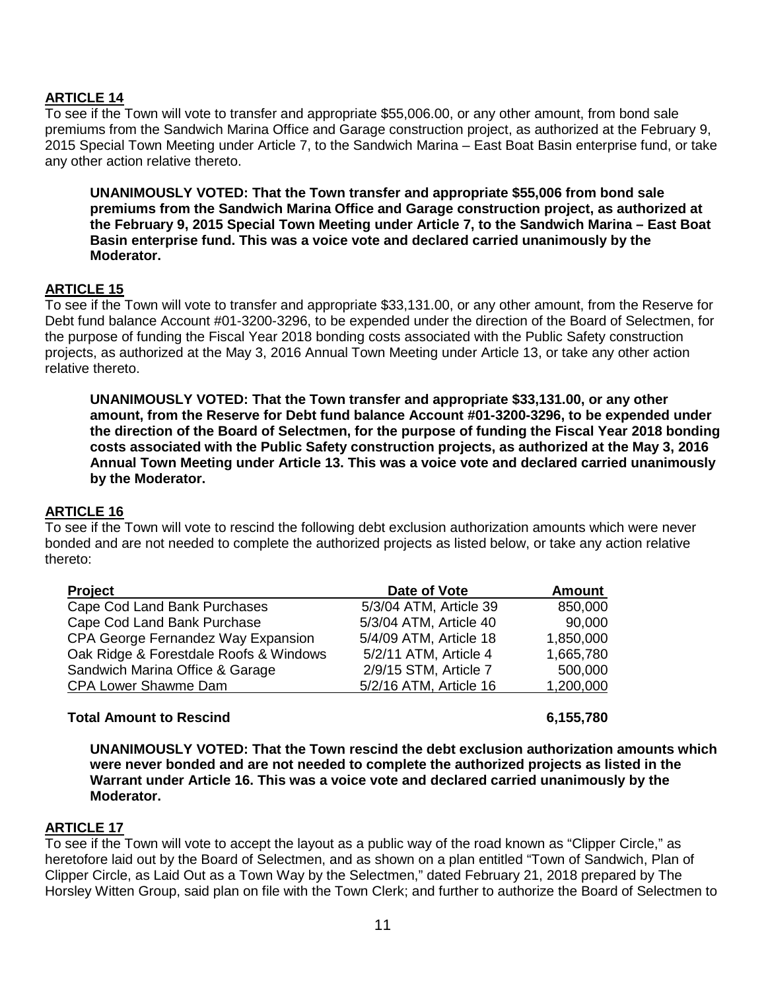## **ARTICLE 14**

To see if the Town will vote to transfer and appropriate \$55,006.00, or any other amount, from bond sale premiums from the Sandwich Marina Office and Garage construction project, as authorized at the February 9, 2015 Special Town Meeting under Article 7, to the Sandwich Marina – East Boat Basin enterprise fund, or take any other action relative thereto.

**UNANIMOUSLY VOTED: That the Town transfer and appropriate \$55,006 from bond sale premiums from the Sandwich Marina Office and Garage construction project, as authorized at the February 9, 2015 Special Town Meeting under Article 7, to the Sandwich Marina – East Boat Basin enterprise fund. This was a voice vote and declared carried unanimously by the Moderator.**

## **ARTICLE 15**

To see if the Town will vote to transfer and appropriate \$33,131.00, or any other amount, from the Reserve for Debt fund balance Account #01-3200-3296, to be expended under the direction of the Board of Selectmen, for the purpose of funding the Fiscal Year 2018 bonding costs associated with the Public Safety construction projects, as authorized at the May 3, 2016 Annual Town Meeting under Article 13, or take any other action relative thereto.

**UNANIMOUSLY VOTED: That the Town transfer and appropriate \$33,131.00, or any other amount, from the Reserve for Debt fund balance Account #01-3200-3296, to be expended under the direction of the Board of Selectmen, for the purpose of funding the Fiscal Year 2018 bonding costs associated with the Public Safety construction projects, as authorized at the May 3, 2016 Annual Town Meeting under Article 13. This was a voice vote and declared carried unanimously by the Moderator.**

## **ARTICLE 16**

To see if the Town will vote to rescind the following debt exclusion authorization amounts which were never bonded and are not needed to complete the authorized projects as listed below, or take any action relative thereto:

| Project                                | Date of Vote           | Amount    |
|----------------------------------------|------------------------|-----------|
| Cape Cod Land Bank Purchases           | 5/3/04 ATM, Article 39 | 850,000   |
| Cape Cod Land Bank Purchase            | 5/3/04 ATM, Article 40 | 90,000    |
| CPA George Fernandez Way Expansion     | 5/4/09 ATM, Article 18 | 1,850,000 |
| Oak Ridge & Forestdale Roofs & Windows | 5/2/11 ATM, Article 4  | 1,665,780 |
| Sandwich Marina Office & Garage        | 2/9/15 STM, Article 7  | 500,000   |
| <b>CPA Lower Shawme Dam</b>            | 5/2/16 ATM, Article 16 | 1,200,000 |
|                                        |                        |           |

## **Total Amount to Rescind 6,155,780**

**UNANIMOUSLY VOTED: That the Town rescind the debt exclusion authorization amounts which were never bonded and are not needed to complete the authorized projects as listed in the Warrant under Article 16. This was a voice vote and declared carried unanimously by the Moderator.**

## **ARTICLE 17**

To see if the Town will vote to accept the layout as a public way of the road known as "Clipper Circle," as heretofore laid out by the Board of Selectmen, and as shown on a plan entitled "Town of Sandwich, Plan of Clipper Circle, as Laid Out as a Town Way by the Selectmen," dated February 21, 2018 prepared by The Horsley Witten Group, said plan on file with the Town Clerk; and further to authorize the Board of Selectmen to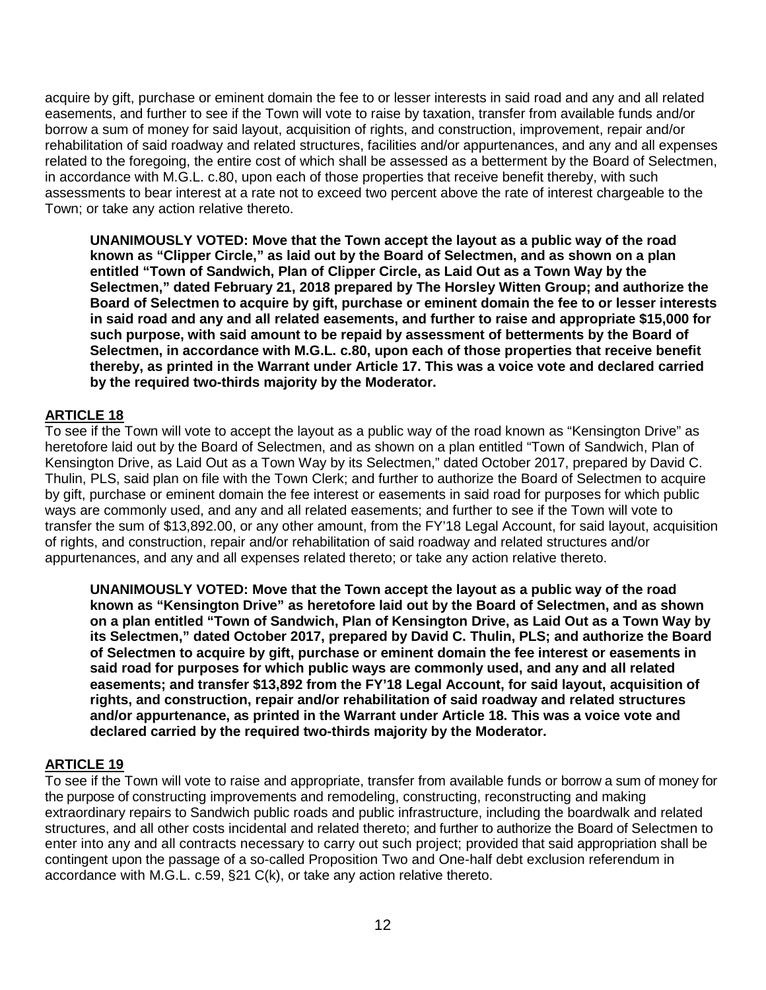acquire by gift, purchase or eminent domain the fee to or lesser interests in said road and any and all related easements, and further to see if the Town will vote to raise by taxation, transfer from available funds and/or borrow a sum of money for said layout, acquisition of rights, and construction, improvement, repair and/or rehabilitation of said roadway and related structures, facilities and/or appurtenances, and any and all expenses related to the foregoing, the entire cost of which shall be assessed as a betterment by the Board of Selectmen, in accordance with M.G.L. c.80, upon each of those properties that receive benefit thereby, with such assessments to bear interest at a rate not to exceed two percent above the rate of interest chargeable to the Town; or take any action relative thereto.

**UNANIMOUSLY VOTED: Move that the Town accept the layout as a public way of the road known as "Clipper Circle," as laid out by the Board of Selectmen, and as shown on a plan entitled "Town of Sandwich, Plan of Clipper Circle, as Laid Out as a Town Way by the Selectmen," dated February 21, 2018 prepared by The Horsley Witten Group; and authorize the Board of Selectmen to acquire by gift, purchase or eminent domain the fee to or lesser interests in said road and any and all related easements, and further to raise and appropriate \$15,000 for such purpose, with said amount to be repaid by assessment of betterments by the Board of Selectmen, in accordance with M.G.L. c.80, upon each of those properties that receive benefit thereby, as printed in the Warrant under Article 17. This was a voice vote and declared carried by the required two-thirds majority by the Moderator.**

## **ARTICLE 18**

To see if the Town will vote to accept the layout as a public way of the road known as "Kensington Drive" as heretofore laid out by the Board of Selectmen, and as shown on a plan entitled "Town of Sandwich, Plan of Kensington Drive, as Laid Out as a Town Way by its Selectmen," dated October 2017, prepared by David C. Thulin, PLS, said plan on file with the Town Clerk; and further to authorize the Board of Selectmen to acquire by gift, purchase or eminent domain the fee interest or easements in said road for purposes for which public ways are commonly used, and any and all related easements; and further to see if the Town will vote to transfer the sum of \$13,892.00, or any other amount, from the FY'18 Legal Account, for said layout, acquisition of rights, and construction, repair and/or rehabilitation of said roadway and related structures and/or appurtenances, and any and all expenses related thereto; or take any action relative thereto.

**UNANIMOUSLY VOTED: Move that the Town accept the layout as a public way of the road known as "Kensington Drive" as heretofore laid out by the Board of Selectmen, and as shown on a plan entitled "Town of Sandwich, Plan of Kensington Drive, as Laid Out as a Town Way by its Selectmen," dated October 2017, prepared by David C. Thulin, PLS; and authorize the Board of Selectmen to acquire by gift, purchase or eminent domain the fee interest or easements in said road for purposes for which public ways are commonly used, and any and all related easements; and transfer \$13,892 from the FY'18 Legal Account, for said layout, acquisition of rights, and construction, repair and/or rehabilitation of said roadway and related structures and/or appurtenance, as printed in the Warrant under Article 18. This was a voice vote and declared carried by the required two-thirds majority by the Moderator.**

## **ARTICLE 19**

To see if the Town will vote to raise and appropriate, transfer from available funds or borrow a sum of money for the purpose of constructing improvements and remodeling, constructing, reconstructing and making extraordinary repairs to Sandwich public roads and public infrastructure, including the boardwalk and related structures, and all other costs incidental and related thereto; and further to authorize the Board of Selectmen to enter into any and all contracts necessary to carry out such project; provided that said appropriation shall be contingent upon the passage of a so-called Proposition Two and One-half debt exclusion referendum in accordance with M.G.L. c.59, §21 C(k), or take any action relative thereto.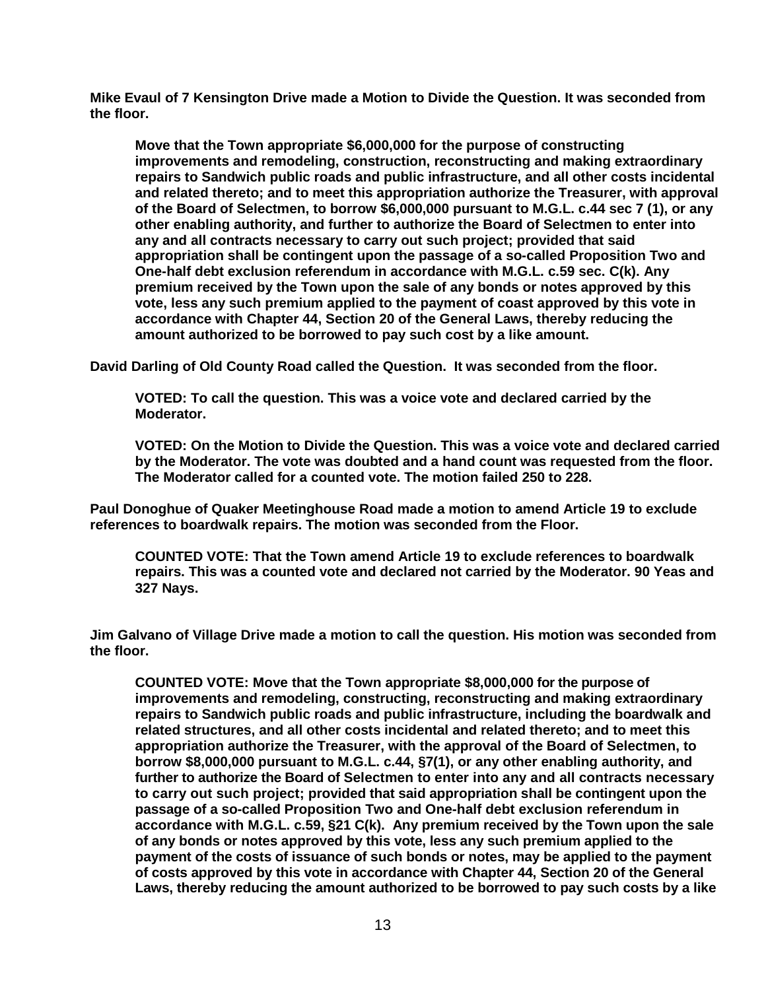**Mike Evaul of 7 Kensington Drive made a Motion to Divide the Question. It was seconded from the floor.** 

**Move that the Town appropriate \$6,000,000 for the purpose of constructing improvements and remodeling, construction, reconstructing and making extraordinary repairs to Sandwich public roads and public infrastructure, and all other costs incidental and related thereto; and to meet this appropriation authorize the Treasurer, with approval of the Board of Selectmen, to borrow \$6,000,000 pursuant to M.G.L. c.44 sec 7 (1), or any other enabling authority, and further to authorize the Board of Selectmen to enter into any and all contracts necessary to carry out such project; provided that said appropriation shall be contingent upon the passage of a so-called Proposition Two and One-half debt exclusion referendum in accordance with M.G.L. c.59 sec. C(k). Any premium received by the Town upon the sale of any bonds or notes approved by this vote, less any such premium applied to the payment of coast approved by this vote in accordance with Chapter 44, Section 20 of the General Laws, thereby reducing the amount authorized to be borrowed to pay such cost by a like amount.**

**David Darling of Old County Road called the Question. It was seconded from the floor.** 

**VOTED: To call the question. This was a voice vote and declared carried by the Moderator.**

**VOTED: On the Motion to Divide the Question. This was a voice vote and declared carried by the Moderator. The vote was doubted and a hand count was requested from the floor. The Moderator called for a counted vote. The motion failed 250 to 228.** 

**Paul Donoghue of Quaker Meetinghouse Road made a motion to amend Article 19 to exclude references to boardwalk repairs. The motion was seconded from the Floor.** 

**COUNTED VOTE: That the Town amend Article 19 to exclude references to boardwalk repairs. This was a counted vote and declared not carried by the Moderator. 90 Yeas and 327 Nays.**

**Jim Galvano of Village Drive made a motion to call the question. His motion was seconded from the floor.** 

**COUNTED VOTE: Move that the Town appropriate \$8,000,000 for the purpose of improvements and remodeling, constructing, reconstructing and making extraordinary repairs to Sandwich public roads and public infrastructure, including the boardwalk and related structures, and all other costs incidental and related thereto; and to meet this appropriation authorize the Treasurer, with the approval of the Board of Selectmen, to borrow \$8,000,000 pursuant to M.G.L. c.44, §7(1), or any other enabling authority, and further to authorize the Board of Selectmen to enter into any and all contracts necessary to carry out such project; provided that said appropriation shall be contingent upon the passage of a so-called Proposition Two and One-half debt exclusion referendum in accordance with M.G.L. c.59, §21 C(k). Any premium received by the Town upon the sale of any bonds or notes approved by this vote, less any such premium applied to the payment of the costs of issuance of such bonds or notes, may be applied to the payment of costs approved by this vote in accordance with Chapter 44, Section 20 of the General Laws, thereby reducing the amount authorized to be borrowed to pay such costs by a like**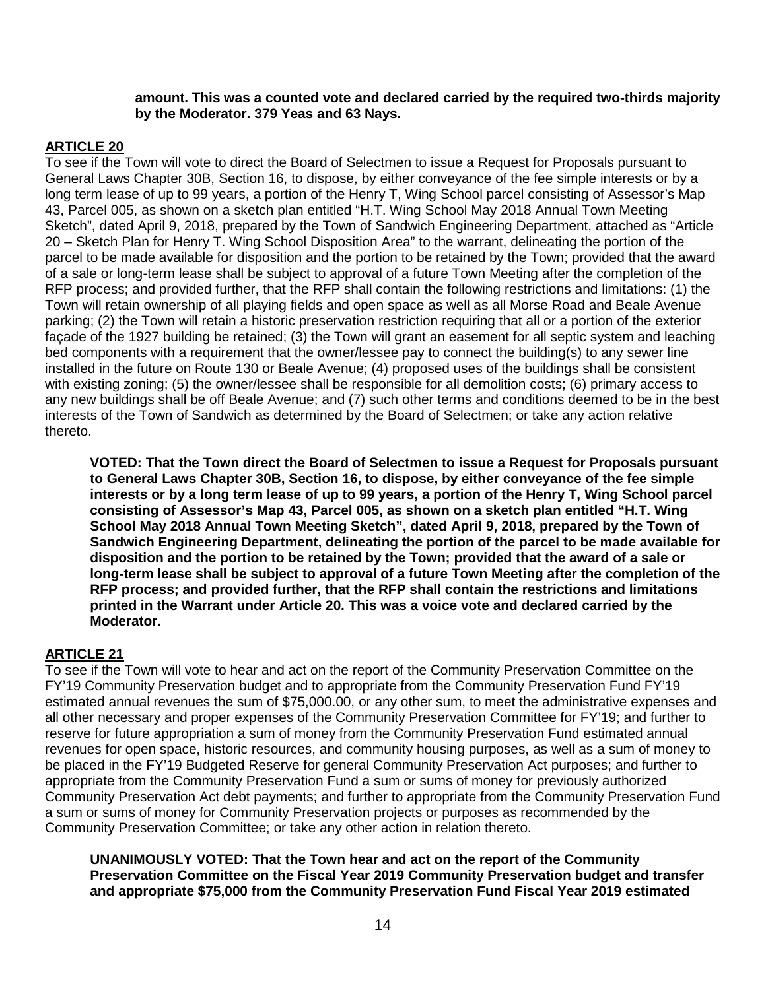#### **amount. This was a counted vote and declared carried by the required two-thirds majority by the Moderator. 379 Yeas and 63 Nays.**

## **ARTICLE 20**

To see if the Town will vote to direct the Board of Selectmen to issue a Request for Proposals pursuant to General Laws Chapter 30B, Section 16, to dispose, by either conveyance of the fee simple interests or by a long term lease of up to 99 years, a portion of the Henry T, Wing School parcel consisting of Assessor's Map 43, Parcel 005, as shown on a sketch plan entitled "H.T. Wing School May 2018 Annual Town Meeting Sketch", dated April 9, 2018, prepared by the Town of Sandwich Engineering Department, attached as "Article 20 – Sketch Plan for Henry T. Wing School Disposition Area" to the warrant, delineating the portion of the parcel to be made available for disposition and the portion to be retained by the Town; provided that the award of a sale or long-term lease shall be subject to approval of a future Town Meeting after the completion of the RFP process; and provided further, that the RFP shall contain the following restrictions and limitations: (1) the Town will retain ownership of all playing fields and open space as well as all Morse Road and Beale Avenue parking; (2) the Town will retain a historic preservation restriction requiring that all or a portion of the exterior façade of the 1927 building be retained; (3) the Town will grant an easement for all septic system and leaching bed components with a requirement that the owner/lessee pay to connect the building(s) to any sewer line installed in the future on Route 130 or Beale Avenue; (4) proposed uses of the buildings shall be consistent with existing zoning; (5) the owner/lessee shall be responsible for all demolition costs; (6) primary access to any new buildings shall be off Beale Avenue; and (7) such other terms and conditions deemed to be in the best interests of the Town of Sandwich as determined by the Board of Selectmen; or take any action relative thereto.

**VOTED: That the Town direct the Board of Selectmen to issue a Request for Proposals pursuant to General Laws Chapter 30B, Section 16, to dispose, by either conveyance of the fee simple interests or by a long term lease of up to 99 years, a portion of the Henry T, Wing School parcel consisting of Assessor's Map 43, Parcel 005, as shown on a sketch plan entitled "H.T. Wing School May 2018 Annual Town Meeting Sketch", dated April 9, 2018, prepared by the Town of Sandwich Engineering Department, delineating the portion of the parcel to be made available for disposition and the portion to be retained by the Town; provided that the award of a sale or long-term lease shall be subject to approval of a future Town Meeting after the completion of the RFP process; and provided further, that the RFP shall contain the restrictions and limitations printed in the Warrant under Article 20. This was a voice vote and declared carried by the Moderator.**

## **ARTICLE 21**

To see if the Town will vote to hear and act on the report of the Community Preservation Committee on the FY'19 Community Preservation budget and to appropriate from the Community Preservation Fund FY'19 estimated annual revenues the sum of \$75,000.00, or any other sum, to meet the administrative expenses and all other necessary and proper expenses of the Community Preservation Committee for FY'19; and further to reserve for future appropriation a sum of money from the Community Preservation Fund estimated annual revenues for open space, historic resources, and community housing purposes, as well as a sum of money to be placed in the FY'19 Budgeted Reserve for general Community Preservation Act purposes; and further to appropriate from the Community Preservation Fund a sum or sums of money for previously authorized Community Preservation Act debt payments; and further to appropriate from the Community Preservation Fund a sum or sums of money for Community Preservation projects or purposes as recommended by the Community Preservation Committee; or take any other action in relation thereto.

**UNANIMOUSLY VOTED: That the Town hear and act on the report of the Community Preservation Committee on the Fiscal Year 2019 Community Preservation budget and transfer and appropriate \$75,000 from the Community Preservation Fund Fiscal Year 2019 estimated**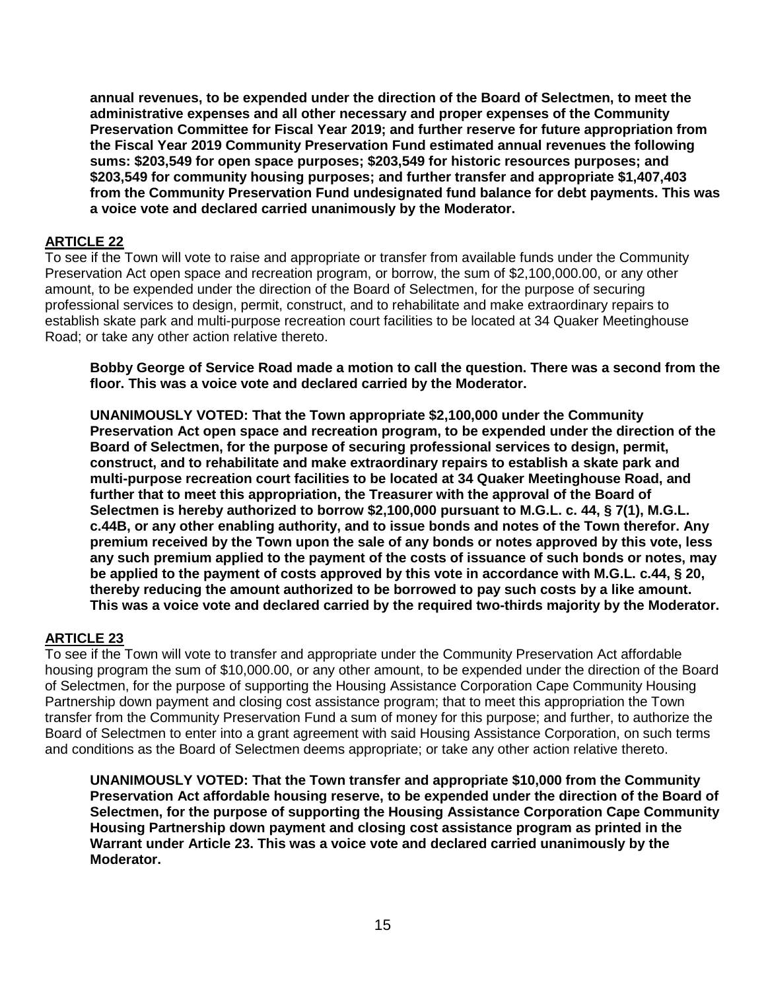**annual revenues, to be expended under the direction of the Board of Selectmen, to meet the administrative expenses and all other necessary and proper expenses of the Community Preservation Committee for Fiscal Year 2019; and further reserve for future appropriation from the Fiscal Year 2019 Community Preservation Fund estimated annual revenues the following sums: \$203,549 for open space purposes; \$203,549 for historic resources purposes; and \$203,549 for community housing purposes; and further transfer and appropriate \$1,407,403 from the Community Preservation Fund undesignated fund balance for debt payments. This was a voice vote and declared carried unanimously by the Moderator.**

#### **ARTICLE 22**

To see if the Town will vote to raise and appropriate or transfer from available funds under the Community Preservation Act open space and recreation program, or borrow, the sum of \$2,100,000.00, or any other amount, to be expended under the direction of the Board of Selectmen, for the purpose of securing professional services to design, permit, construct, and to rehabilitate and make extraordinary repairs to establish skate park and multi-purpose recreation court facilities to be located at 34 Quaker Meetinghouse Road; or take any other action relative thereto.

**Bobby George of Service Road made a motion to call the question. There was a second from the floor. This was a voice vote and declared carried by the Moderator.**

**UNANIMOUSLY VOTED: That the Town appropriate \$2,100,000 under the Community Preservation Act open space and recreation program, to be expended under the direction of the Board of Selectmen, for the purpose of securing professional services to design, permit, construct, and to rehabilitate and make extraordinary repairs to establish a skate park and multi-purpose recreation court facilities to be located at 34 Quaker Meetinghouse Road, and further that to meet this appropriation, the Treasurer with the approval of the Board of Selectmen is hereby authorized to borrow \$2,100,000 pursuant to M.G.L. c. 44, § 7(1), M.G.L. c.44B, or any other enabling authority, and to issue bonds and notes of the Town therefor. Any premium received by the Town upon the sale of any bonds or notes approved by this vote, less any such premium applied to the payment of the costs of issuance of such bonds or notes, may be applied to the payment of costs approved by this vote in accordance with M.G.L. c.44, § 20, thereby reducing the amount authorized to be borrowed to pay such costs by a like amount. This was a voice vote and declared carried by the required two-thirds majority by the Moderator.**

## **ARTICLE 23**

To see if the Town will vote to transfer and appropriate under the Community Preservation Act affordable housing program the sum of \$10,000.00, or any other amount, to be expended under the direction of the Board of Selectmen, for the purpose of supporting the Housing Assistance Corporation Cape Community Housing Partnership down payment and closing cost assistance program; that to meet this appropriation the Town transfer from the Community Preservation Fund a sum of money for this purpose; and further, to authorize the Board of Selectmen to enter into a grant agreement with said Housing Assistance Corporation, on such terms and conditions as the Board of Selectmen deems appropriate; or take any other action relative thereto.

**UNANIMOUSLY VOTED: That the Town transfer and appropriate \$10,000 from the Community Preservation Act affordable housing reserve, to be expended under the direction of the Board of Selectmen, for the purpose of supporting the Housing Assistance Corporation Cape Community Housing Partnership down payment and closing cost assistance program as printed in the Warrant under Article 23. This was a voice vote and declared carried unanimously by the Moderator.**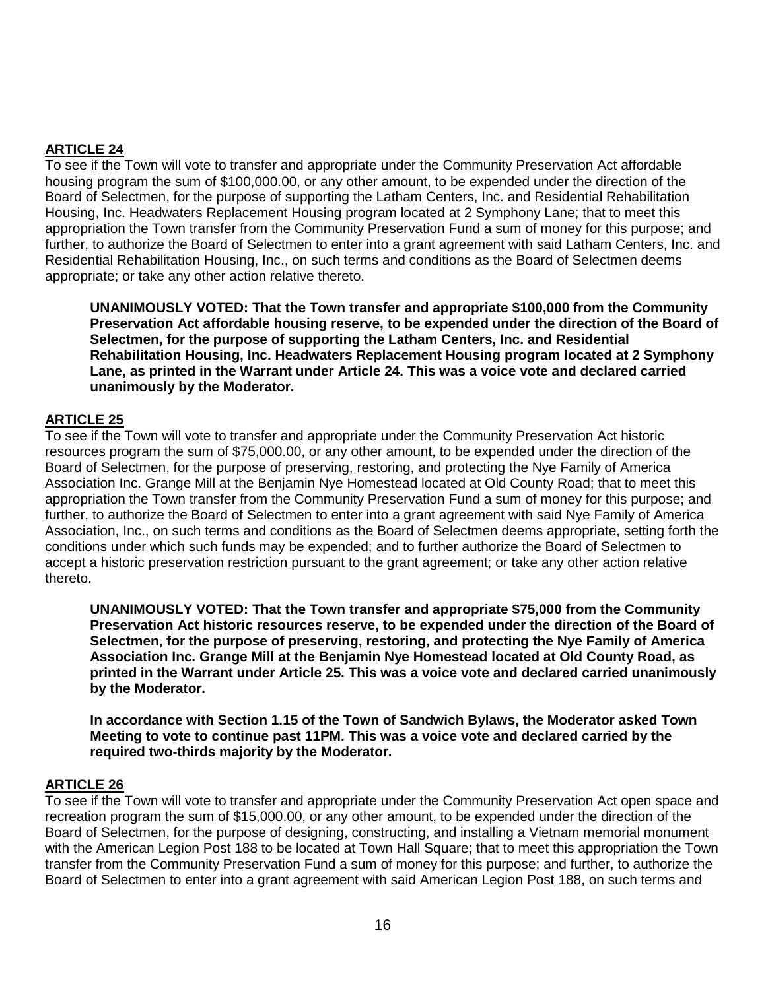## **ARTICLE 24**

To see if the Town will vote to transfer and appropriate under the Community Preservation Act affordable housing program the sum of \$100,000.00, or any other amount, to be expended under the direction of the Board of Selectmen, for the purpose of supporting the Latham Centers, Inc. and Residential Rehabilitation Housing, Inc. Headwaters Replacement Housing program located at 2 Symphony Lane; that to meet this appropriation the Town transfer from the Community Preservation Fund a sum of money for this purpose; and further, to authorize the Board of Selectmen to enter into a grant agreement with said Latham Centers, Inc. and Residential Rehabilitation Housing, Inc., on such terms and conditions as the Board of Selectmen deems appropriate; or take any other action relative thereto.

**UNANIMOUSLY VOTED: That the Town transfer and appropriate \$100,000 from the Community Preservation Act affordable housing reserve, to be expended under the direction of the Board of Selectmen, for the purpose of supporting the Latham Centers, Inc. and Residential Rehabilitation Housing, Inc. Headwaters Replacement Housing program located at 2 Symphony Lane, as printed in the Warrant under Article 24. This was a voice vote and declared carried unanimously by the Moderator.**

## **ARTICLE 25**

To see if the Town will vote to transfer and appropriate under the Community Preservation Act historic resources program the sum of \$75,000.00, or any other amount, to be expended under the direction of the Board of Selectmen, for the purpose of preserving, restoring, and protecting the Nye Family of America Association Inc. Grange Mill at the Benjamin Nye Homestead located at Old County Road; that to meet this appropriation the Town transfer from the Community Preservation Fund a sum of money for this purpose; and further, to authorize the Board of Selectmen to enter into a grant agreement with said Nye Family of America Association, Inc., on such terms and conditions as the Board of Selectmen deems appropriate, setting forth the conditions under which such funds may be expended; and to further authorize the Board of Selectmen to accept a historic preservation restriction pursuant to the grant agreement; or take any other action relative thereto.

**UNANIMOUSLY VOTED: That the Town transfer and appropriate \$75,000 from the Community Preservation Act historic resources reserve, to be expended under the direction of the Board of Selectmen, for the purpose of preserving, restoring, and protecting the Nye Family of America Association Inc. Grange Mill at the Benjamin Nye Homestead located at Old County Road, as printed in the Warrant under Article 25. This was a voice vote and declared carried unanimously by the Moderator.**

**In accordance with Section 1.15 of the Town of Sandwich Bylaws, the Moderator asked Town Meeting to vote to continue past 11PM. This was a voice vote and declared carried by the required two-thirds majority by the Moderator.**

#### **ARTICLE 26**

To see if the Town will vote to transfer and appropriate under the Community Preservation Act open space and recreation program the sum of \$15,000.00, or any other amount, to be expended under the direction of the Board of Selectmen, for the purpose of designing, constructing, and installing a Vietnam memorial monument with the American Legion Post 188 to be located at Town Hall Square; that to meet this appropriation the Town transfer from the Community Preservation Fund a sum of money for this purpose; and further, to authorize the Board of Selectmen to enter into a grant agreement with said American Legion Post 188, on such terms and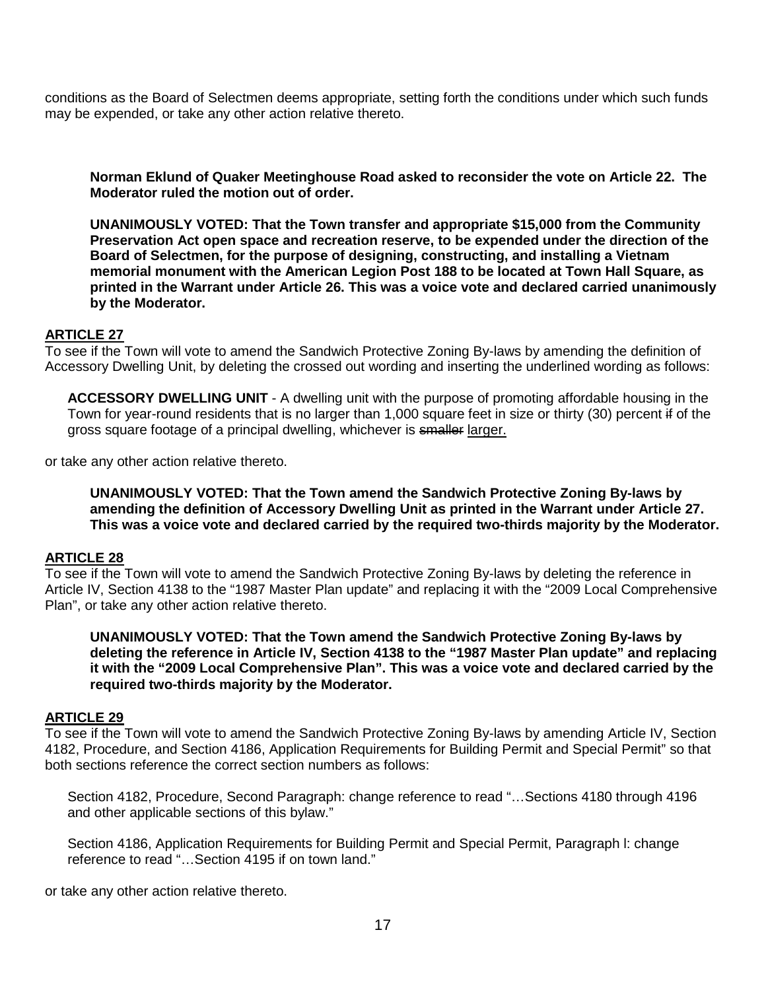conditions as the Board of Selectmen deems appropriate, setting forth the conditions under which such funds may be expended, or take any other action relative thereto.

**Norman Eklund of Quaker Meetinghouse Road asked to reconsider the vote on Article 22. The Moderator ruled the motion out of order.** 

**UNANIMOUSLY VOTED: That the Town transfer and appropriate \$15,000 from the Community Preservation Act open space and recreation reserve, to be expended under the direction of the Board of Selectmen, for the purpose of designing, constructing, and installing a Vietnam memorial monument with the American Legion Post 188 to be located at Town Hall Square, as printed in the Warrant under Article 26. This was a voice vote and declared carried unanimously by the Moderator.**

#### **ARTICLE 27**

To see if the Town will vote to amend the Sandwich Protective Zoning By-laws by amending the definition of Accessory Dwelling Unit, by deleting the crossed out wording and inserting the underlined wording as follows:

**ACCESSORY DWELLING UNIT** - A dwelling unit with the purpose of promoting affordable housing in the Town for year-round residents that is no larger than 1,000 square feet in size or thirty (30) percent if of the gross square footage of a principal dwelling, whichever is smaller larger.

or take any other action relative thereto.

**UNANIMOUSLY VOTED: That the Town amend the Sandwich Protective Zoning By-laws by amending the definition of Accessory Dwelling Unit as printed in the Warrant under Article 27. This was a voice vote and declared carried by the required two-thirds majority by the Moderator.**

#### **ARTICLE 28**

To see if the Town will vote to amend the Sandwich Protective Zoning By-laws by deleting the reference in Article IV, Section 4138 to the "1987 Master Plan update" and replacing it with the "2009 Local Comprehensive Plan", or take any other action relative thereto.

**UNANIMOUSLY VOTED: That the Town amend the Sandwich Protective Zoning By-laws by deleting the reference in Article IV, Section 4138 to the "1987 Master Plan update" and replacing it with the "2009 Local Comprehensive Plan". This was a voice vote and declared carried by the required two-thirds majority by the Moderator.**

#### **ARTICLE 29**

To see if the Town will vote to amend the Sandwich Protective Zoning By-laws by amending Article IV, Section 4182, Procedure, and Section 4186, Application Requirements for Building Permit and Special Permit" so that both sections reference the correct section numbers as follows:

Section 4182, Procedure, Second Paragraph: change reference to read "…Sections 4180 through 4196 and other applicable sections of this bylaw."

Section 4186, Application Requirements for Building Permit and Special Permit, Paragraph l: change reference to read "…Section 4195 if on town land."

or take any other action relative thereto.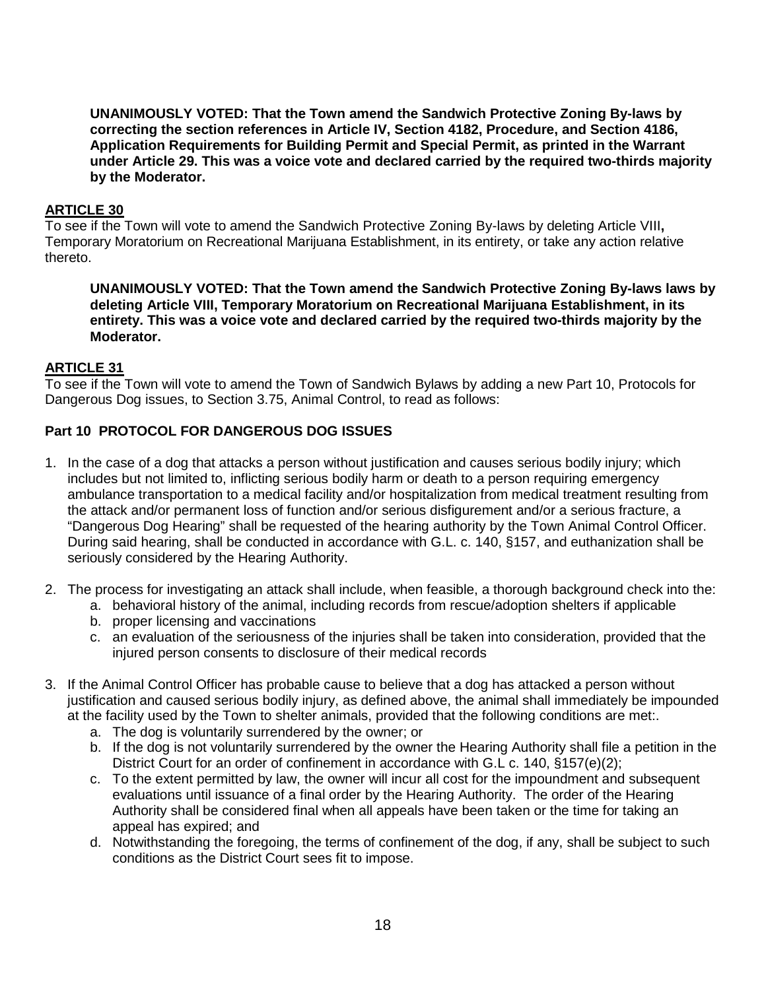**UNANIMOUSLY VOTED: That the Town amend the Sandwich Protective Zoning By-laws by correcting the section references in Article IV, Section 4182, Procedure, and Section 4186, Application Requirements for Building Permit and Special Permit, as printed in the Warrant under Article 29. This was a voice vote and declared carried by the required two-thirds majority by the Moderator.**

#### **ARTICLE 30**

To see if the Town will vote to amend the Sandwich Protective Zoning By-laws by deleting Article VIII**,**  Temporary Moratorium on Recreational Marijuana Establishment, in its entirety, or take any action relative thereto.

**UNANIMOUSLY VOTED: That the Town amend the Sandwich Protective Zoning By-laws laws by deleting Article VIII, Temporary Moratorium on Recreational Marijuana Establishment, in its entirety. This was a voice vote and declared carried by the required two-thirds majority by the Moderator.**

#### **ARTICLE 31**

To see if the Town will vote to amend the Town of Sandwich Bylaws by adding a new Part 10, Protocols for Dangerous Dog issues, to Section 3.75, Animal Control, to read as follows:

## **Part 10 PROTOCOL FOR DANGEROUS DOG ISSUES**

- 1. In the case of a dog that attacks a person without justification and causes serious bodily injury; which includes but not limited to, inflicting serious bodily harm or death to a person requiring emergency ambulance transportation to a medical facility and/or hospitalization from medical treatment resulting from the attack and/or permanent loss of function and/or serious disfigurement and/or a serious fracture, a "Dangerous Dog Hearing" shall be requested of the hearing authority by the Town Animal Control Officer. During said hearing, shall be conducted in accordance with G.L. c. 140, §157, and euthanization shall be seriously considered by the Hearing Authority.
- 2. The process for investigating an attack shall include, when feasible, a thorough background check into the:
	- a. behavioral history of the animal, including records from rescue/adoption shelters if applicable
	- b. proper licensing and vaccinations
	- c. an evaluation of the seriousness of the injuries shall be taken into consideration, provided that the injured person consents to disclosure of their medical records
- 3. If the Animal Control Officer has probable cause to believe that a dog has attacked a person without justification and caused serious bodily injury, as defined above, the animal shall immediately be impounded at the facility used by the Town to shelter animals, provided that the following conditions are met:.
	- a. The dog is voluntarily surrendered by the owner; or
	- b. If the dog is not voluntarily surrendered by the owner the Hearing Authority shall file a petition in the District Court for an order of confinement in accordance with G.L c. 140, §157(e)(2);
	- c. To the extent permitted by law, the owner will incur all cost for the impoundment and subsequent evaluations until issuance of a final order by the Hearing Authority. The order of the Hearing Authority shall be considered final when all appeals have been taken or the time for taking an appeal has expired; and
	- d. Notwithstanding the foregoing, the terms of confinement of the dog, if any, shall be subject to such conditions as the District Court sees fit to impose.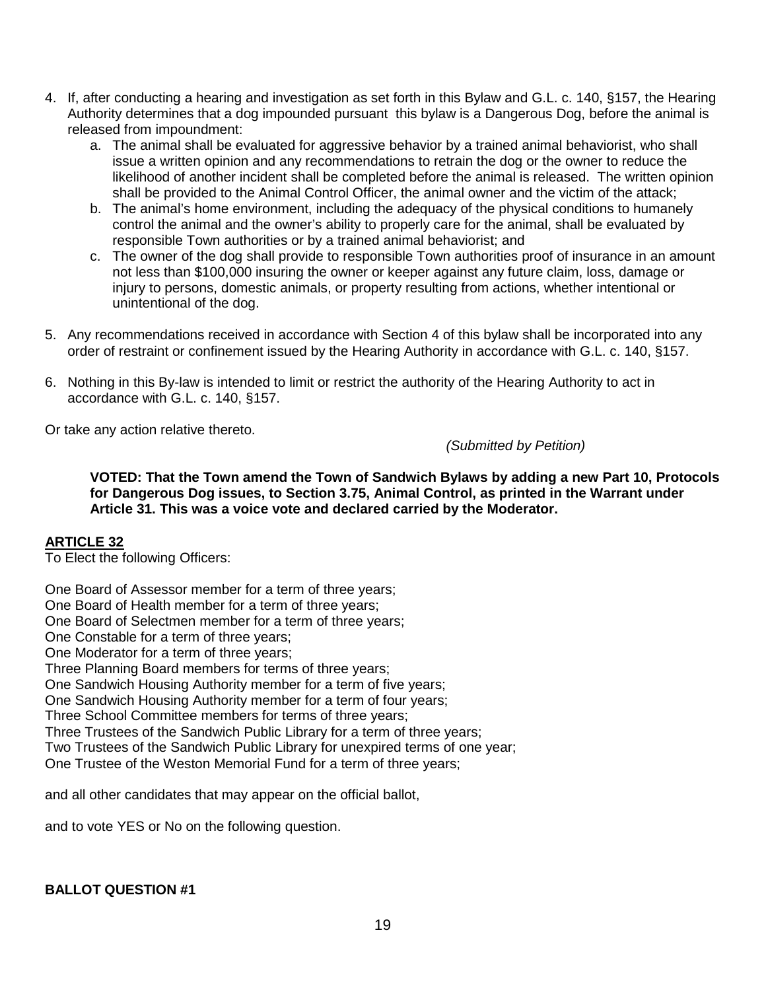- 4. If, after conducting a hearing and investigation as set forth in this Bylaw and G.L. c. 140, §157, the Hearing Authority determines that a dog impounded pursuant this bylaw is a Dangerous Dog, before the animal is released from impoundment:
	- a. The animal shall be evaluated for aggressive behavior by a trained animal behaviorist, who shall issue a written opinion and any recommendations to retrain the dog or the owner to reduce the likelihood of another incident shall be completed before the animal is released. The written opinion shall be provided to the Animal Control Officer, the animal owner and the victim of the attack;
	- b. The animal's home environment, including the adequacy of the physical conditions to humanely control the animal and the owner's ability to properly care for the animal, shall be evaluated by responsible Town authorities or by a trained animal behaviorist; and
	- c. The owner of the dog shall provide to responsible Town authorities proof of insurance in an amount not less than \$100,000 insuring the owner or keeper against any future claim, loss, damage or injury to persons, domestic animals, or property resulting from actions, whether intentional or unintentional of the dog.
- 5. Any recommendations received in accordance with Section 4 of this bylaw shall be incorporated into any order of restraint or confinement issued by the Hearing Authority in accordance with G.L. c. 140, §157.
- 6. Nothing in this By-law is intended to limit or restrict the authority of the Hearing Authority to act in accordance with G.L. c. 140, §157.

Or take any action relative thereto.

*(Submitted by Petition)*

**VOTED: That the Town amend the Town of Sandwich Bylaws by adding a new Part 10, Protocols for Dangerous Dog issues, to Section 3.75, Animal Control, as printed in the Warrant under Article 31. This was a voice vote and declared carried by the Moderator.**

## **ARTICLE 32**

To Elect the following Officers:

One Board of Assessor member for a term of three years;

One Board of Health member for a term of three years;

One Board of Selectmen member for a term of three years;

One Constable for a term of three years;

One Moderator for a term of three years;

Three Planning Board members for terms of three years;

One Sandwich Housing Authority member for a term of five years;

One Sandwich Housing Authority member for a term of four years;

Three School Committee members for terms of three years;

Three Trustees of the Sandwich Public Library for a term of three years;

Two Trustees of the Sandwich Public Library for unexpired terms of one year;

One Trustee of the Weston Memorial Fund for a term of three years;

and all other candidates that may appear on the official ballot,

and to vote YES or No on the following question.

## **BALLOT QUESTION #1**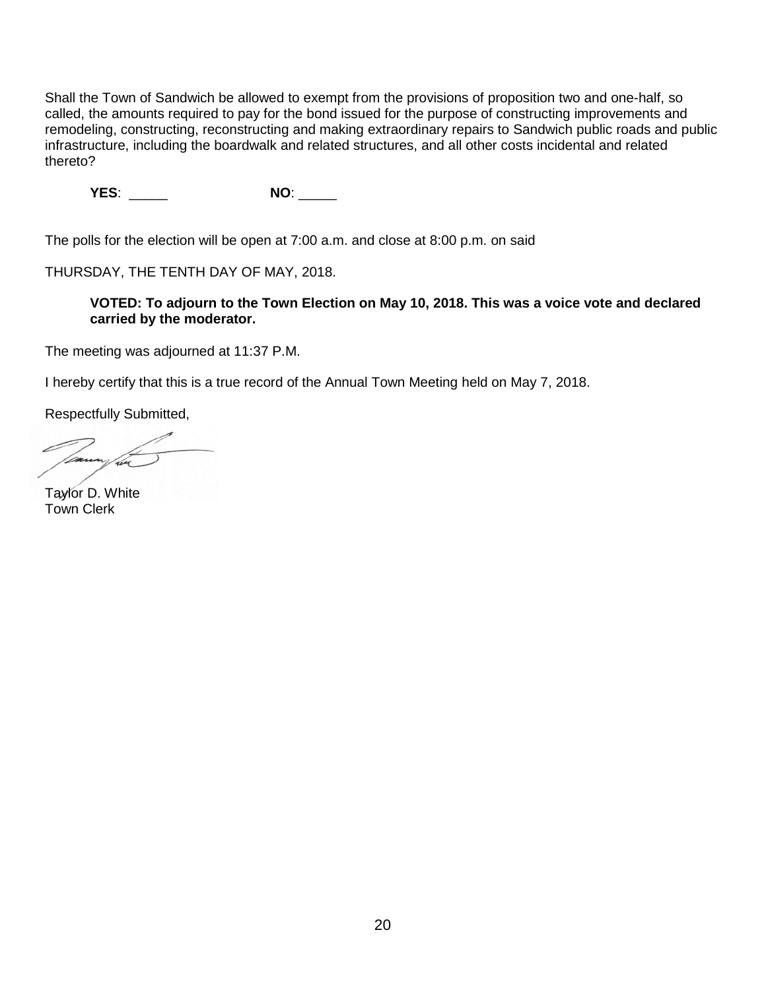Shall the Town of Sandwich be allowed to exempt from the provisions of proposition two and one-half, so called, the amounts required to pay for the bond issued for the purpose of constructing improvements and remodeling, constructing, reconstructing and making extraordinary repairs to Sandwich public roads and public infrastructure, including the boardwalk and related structures, and all other costs incidental and related thereto?

**YES**: \_\_\_\_\_ **NO**: \_\_\_\_\_

The polls for the election will be open at 7:00 a.m. and close at 8:00 p.m. on said

THURSDAY, THE TENTH DAY OF MAY, 2018.

**VOTED: To adjourn to the Town Election on May 10, 2018. This was a voice vote and declared carried by the moderator.**

The meeting was adjourned at 11:37 P.M.

I hereby certify that this is a true record of the Annual Town Meeting held on May 7, 2018.

Respectfully Submitted,

Taylor D. White Town Clerk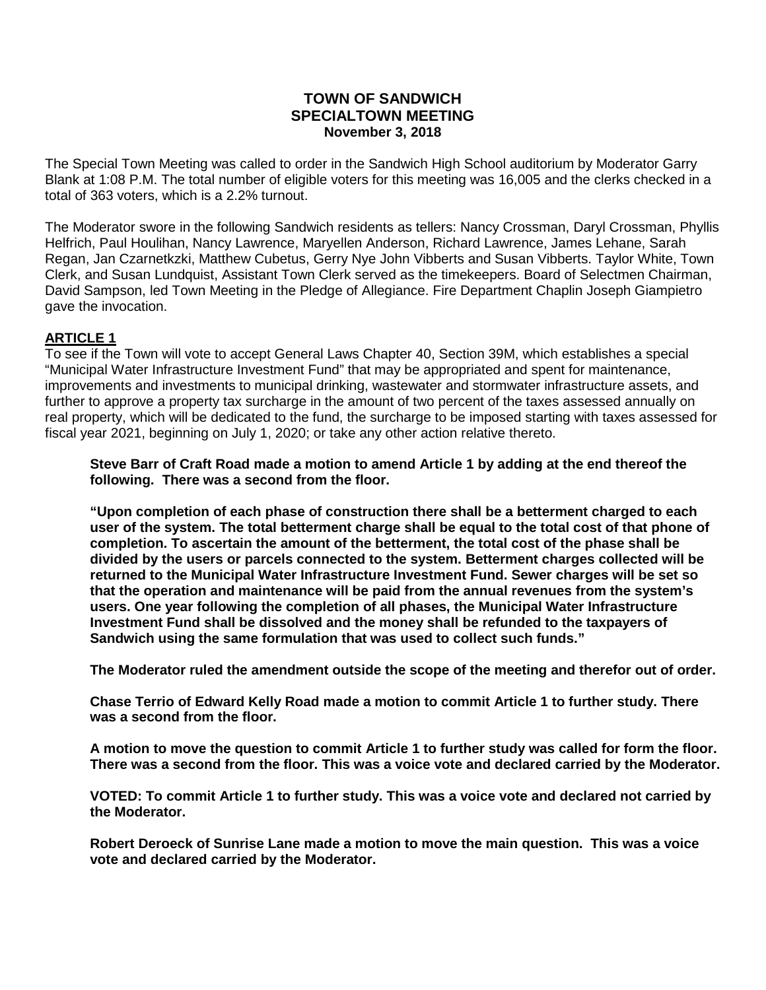## **TOWN OF SANDWICH SPECIALTOWN MEETING November 3, 2018**

The Special Town Meeting was called to order in the Sandwich High School auditorium by Moderator Garry Blank at 1:08 P.M. The total number of eligible voters for this meeting was 16,005 and the clerks checked in a total of 363 voters, which is a 2.2% turnout.

The Moderator swore in the following Sandwich residents as tellers: Nancy Crossman, Daryl Crossman, Phyllis Helfrich, Paul Houlihan, Nancy Lawrence, Maryellen Anderson, Richard Lawrence, James Lehane, Sarah Regan, Jan Czarnetkzki, Matthew Cubetus, Gerry Nye John Vibberts and Susan Vibberts. Taylor White, Town Clerk, and Susan Lundquist, Assistant Town Clerk served as the timekeepers. Board of Selectmen Chairman, David Sampson, led Town Meeting in the Pledge of Allegiance. Fire Department Chaplin Joseph Giampietro gave the invocation.

#### **ARTICLE 1**

To see if the Town will vote to accept General Laws Chapter 40, Section 39M, which establishes a special "Municipal Water Infrastructure Investment Fund" that may be appropriated and spent for maintenance, improvements and investments to municipal drinking, wastewater and stormwater infrastructure assets, and further to approve a property tax surcharge in the amount of two percent of the taxes assessed annually on real property, which will be dedicated to the fund, the surcharge to be imposed starting with taxes assessed for fiscal year 2021, beginning on July 1, 2020; or take any other action relative thereto.

**Steve Barr of Craft Road made a motion to amend Article 1 by adding at the end thereof the following. There was a second from the floor.** 

**"Upon completion of each phase of construction there shall be a betterment charged to each user of the system. The total betterment charge shall be equal to the total cost of that phone of completion. To ascertain the amount of the betterment, the total cost of the phase shall be divided by the users or parcels connected to the system. Betterment charges collected will be returned to the Municipal Water Infrastructure Investment Fund. Sewer charges will be set so that the operation and maintenance will be paid from the annual revenues from the system's users. One year following the completion of all phases, the Municipal Water Infrastructure Investment Fund shall be dissolved and the money shall be refunded to the taxpayers of Sandwich using the same formulation that was used to collect such funds."**

**The Moderator ruled the amendment outside the scope of the meeting and therefor out of order.** 

**Chase Terrio of Edward Kelly Road made a motion to commit Article 1 to further study. There was a second from the floor.**

**A motion to move the question to commit Article 1 to further study was called for form the floor. There was a second from the floor. This was a voice vote and declared carried by the Moderator.**

**VOTED: To commit Article 1 to further study. This was a voice vote and declared not carried by the Moderator.**

**Robert Deroeck of Sunrise Lane made a motion to move the main question. This was a voice vote and declared carried by the Moderator.**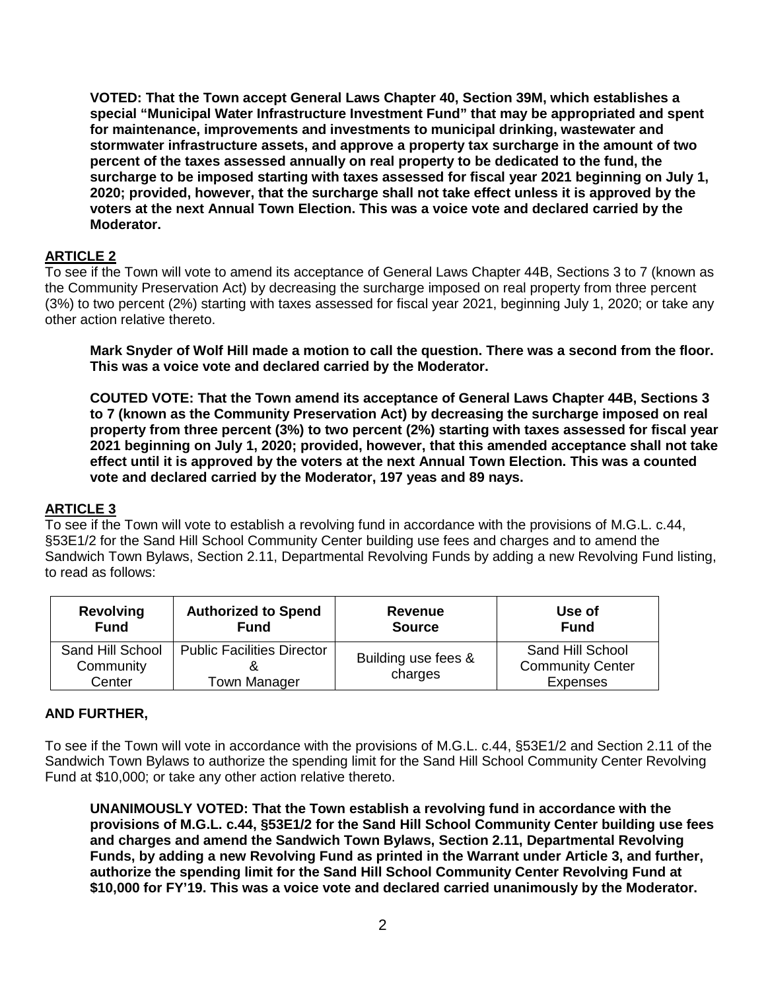**VOTED: That the Town accept General Laws Chapter 40, Section 39M, which establishes a special "Municipal Water Infrastructure Investment Fund" that may be appropriated and spent for maintenance, improvements and investments to municipal drinking, wastewater and stormwater infrastructure assets, and approve a property tax surcharge in the amount of two percent of the taxes assessed annually on real property to be dedicated to the fund, the surcharge to be imposed starting with taxes assessed for fiscal year 2021 beginning on July 1, 2020; provided, however, that the surcharge shall not take effect unless it is approved by the voters at the next Annual Town Election. This was a voice vote and declared carried by the Moderator.**

## **ARTICLE 2**

To see if the Town will vote to amend its acceptance of General Laws Chapter 44B, Sections 3 to 7 (known as the Community Preservation Act) by decreasing the surcharge imposed on real property from three percent (3%) to two percent (2%) starting with taxes assessed for fiscal year 2021, beginning July 1, 2020; or take any other action relative thereto.

**Mark Snyder of Wolf Hill made a motion to call the question. There was a second from the floor. This was a voice vote and declared carried by the Moderator.**

**COUTED VOTE: That the Town amend its acceptance of General Laws Chapter 44B, Sections 3 to 7 (known as the Community Preservation Act) by decreasing the surcharge imposed on real property from three percent (3%) to two percent (2%) starting with taxes assessed for fiscal year 2021 beginning on July 1, 2020; provided, however, that this amended acceptance shall not take effect until it is approved by the voters at the next Annual Town Election. This was a counted vote and declared carried by the Moderator, 197 yeas and 89 nays.**

## **ARTICLE 3**

To see if the Town will vote to establish a revolving fund in accordance with the provisions of M.G.L. c.44, §53E1/2 for the Sand Hill School Community Center building use fees and charges and to amend the Sandwich Town Bylaws, Section 2.11, Departmental Revolving Funds by adding a new Revolving Fund listing, to read as follows:

| <b>Revolving</b>                        | <b>Authorized to Spend</b>                        | Revenue                        | Use of                                                         |
|-----------------------------------------|---------------------------------------------------|--------------------------------|----------------------------------------------------------------|
| <b>Fund</b>                             | <b>Fund</b>                                       | <b>Source</b>                  | <b>Fund</b>                                                    |
| Sand Hill School<br>Community<br>Center | <b>Public Facilities Director</b><br>Town Manager | Building use fees &<br>charges | Sand Hill School<br><b>Community Center</b><br><b>Expenses</b> |

## **AND FURTHER,**

To see if the Town will vote in accordance with the provisions of M.G.L. c.44, §53E1/2 and Section 2.11 of the Sandwich Town Bylaws to authorize the spending limit for the Sand Hill School Community Center Revolving Fund at \$10,000; or take any other action relative thereto.

**UNANIMOUSLY VOTED: That the Town establish a revolving fund in accordance with the provisions of M.G.L. c.44, §53E1/2 for the Sand Hill School Community Center building use fees and charges and amend the Sandwich Town Bylaws, Section 2.11, Departmental Revolving Funds, by adding a new Revolving Fund as printed in the Warrant under Article 3, and further, authorize the spending limit for the Sand Hill School Community Center Revolving Fund at \$10,000 for FY'19. This was a voice vote and declared carried unanimously by the Moderator.**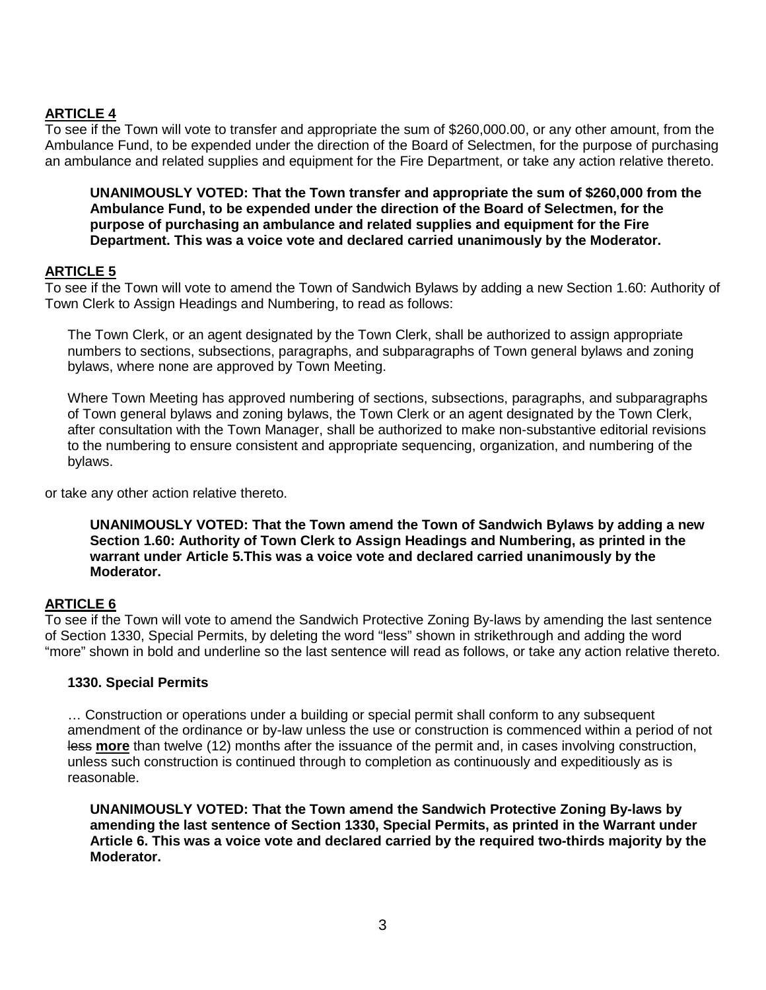# **ARTICLE 4**

To see if the Town will vote to transfer and appropriate the sum of \$260,000.00, or any other amount, from the Ambulance Fund, to be expended under the direction of the Board of Selectmen, for the purpose of purchasing an ambulance and related supplies and equipment for the Fire Department, or take any action relative thereto.

**UNANIMOUSLY VOTED: That the Town transfer and appropriate the sum of \$260,000 from the Ambulance Fund, to be expended under the direction of the Board of Selectmen, for the purpose of purchasing an ambulance and related supplies and equipment for the Fire Department. This was a voice vote and declared carried unanimously by the Moderator.**

# **ARTICLE 5**

To see if the Town will vote to amend the Town of Sandwich Bylaws by adding a new Section 1.60: Authority of Town Clerk to Assign Headings and Numbering, to read as follows:

The Town Clerk, or an agent designated by the Town Clerk, shall be authorized to assign appropriate numbers to sections, subsections, paragraphs, and subparagraphs of Town general bylaws and zoning bylaws, where none are approved by Town Meeting.

Where Town Meeting has approved numbering of sections, subsections, paragraphs, and subparagraphs of Town general bylaws and zoning bylaws, the Town Clerk or an agent designated by the Town Clerk, after consultation with the Town Manager, shall be authorized to make non-substantive editorial revisions to the numbering to ensure consistent and appropriate sequencing, organization, and numbering of the bylaws.

or take any other action relative thereto.

**UNANIMOUSLY VOTED: That the Town amend the Town of Sandwich Bylaws by adding a new Section 1.60: Authority of Town Clerk to Assign Headings and Numbering, as printed in the warrant under Article 5.This was a voice vote and declared carried unanimously by the Moderator.**

## **ARTICLE 6**

To see if the Town will vote to amend the Sandwich Protective Zoning By-laws by amending the last sentence of Section 1330, Special Permits, by deleting the word "less" shown in strikethrough and adding the word "more" shown in bold and underline so the last sentence will read as follows, or take any action relative thereto.

#### **1330. Special Permits**

… Construction or operations under a building or special permit shall conform to any subsequent amendment of the ordinance or by-law unless the use or construction is commenced within a period of not less **more** than twelve (12) months after the issuance of the permit and, in cases involving construction, unless such construction is continued through to completion as continuously and expeditiously as is reasonable.

**UNANIMOUSLY VOTED: That the Town amend the Sandwich Protective Zoning By-laws by amending the last sentence of Section 1330, Special Permits, as printed in the Warrant under Article 6. This was a voice vote and declared carried by the required two-thirds majority by the Moderator.**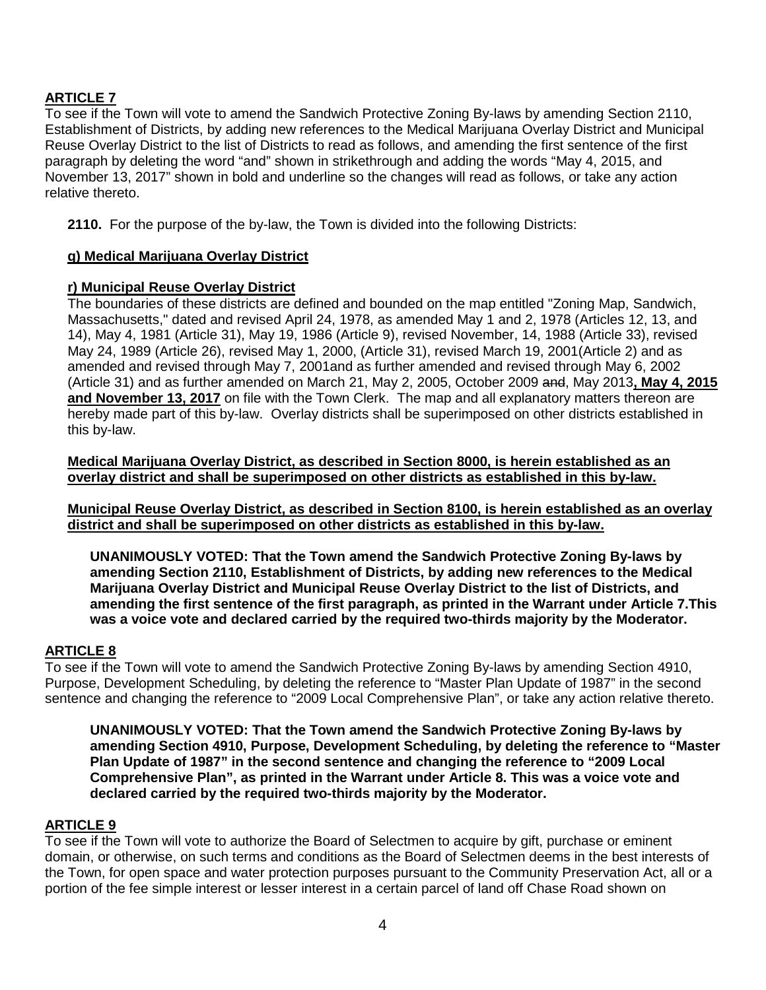## **ARTICLE 7**

To see if the Town will vote to amend the Sandwich Protective Zoning By-laws by amending Section 2110, Establishment of Districts, by adding new references to the Medical Marijuana Overlay District and Municipal Reuse Overlay District to the list of Districts to read as follows, and amending the first sentence of the first paragraph by deleting the word "and" shown in strikethrough and adding the words "May 4, 2015, and November 13, 2017" shown in bold and underline so the changes will read as follows, or take any action relative thereto.

**2110.** For the purpose of the by-law, the Town is divided into the following Districts:

## **q) Medical Marijuana Overlay District**

#### **r) Municipal Reuse Overlay District**

The boundaries of these districts are defined and bounded on the map entitled "Zoning Map, Sandwich, Massachusetts," dated and revised April 24, 1978, as amended May 1 and 2, 1978 (Articles 12, 13, and 14), May 4, 1981 (Article 31), May 19, 1986 (Article 9), revised November, 14, 1988 (Article 33), revised May 24, 1989 (Article 26), revised May 1, 2000, (Article 31), revised March 19, 2001(Article 2) and as amended and revised through May 7, 2001and as further amended and revised through May 6, 2002 (Article 31) and as further amended on March 21, May 2, 2005, October 2009 and, May 2013**, May 4, 2015 and November 13, 2017** on file with the Town Clerk. The map and all explanatory matters thereon are hereby made part of this by-law. Overlay districts shall be superimposed on other districts established in this by-law.

**Medical Marijuana Overlay District, as described in Section 8000, is herein established as an overlay district and shall be superimposed on other districts as established in this by-law.** 

**Municipal Reuse Overlay District, as described in Section 8100, is herein established as an overlay district and shall be superimposed on other districts as established in this by-law.**

**UNANIMOUSLY VOTED: That the Town amend the Sandwich Protective Zoning By-laws by amending Section 2110, Establishment of Districts, by adding new references to the Medical Marijuana Overlay District and Municipal Reuse Overlay District to the list of Districts, and amending the first sentence of the first paragraph, as printed in the Warrant under Article 7.This was a voice vote and declared carried by the required two-thirds majority by the Moderator.**

## **ARTICLE 8**

To see if the Town will vote to amend the Sandwich Protective Zoning By-laws by amending Section 4910, Purpose, Development Scheduling, by deleting the reference to "Master Plan Update of 1987" in the second sentence and changing the reference to "2009 Local Comprehensive Plan", or take any action relative thereto.

**UNANIMOUSLY VOTED: That the Town amend the Sandwich Protective Zoning By-laws by amending Section 4910, Purpose, Development Scheduling, by deleting the reference to "Master Plan Update of 1987" in the second sentence and changing the reference to "2009 Local Comprehensive Plan", as printed in the Warrant under Article 8. This was a voice vote and declared carried by the required two-thirds majority by the Moderator.**

#### **ARTICLE 9**

To see if the Town will vote to authorize the Board of Selectmen to acquire by gift, purchase or eminent domain, or otherwise, on such terms and conditions as the Board of Selectmen deems in the best interests of the Town, for open space and water protection purposes pursuant to the Community Preservation Act, all or a portion of the fee simple interest or lesser interest in a certain parcel of land off Chase Road shown on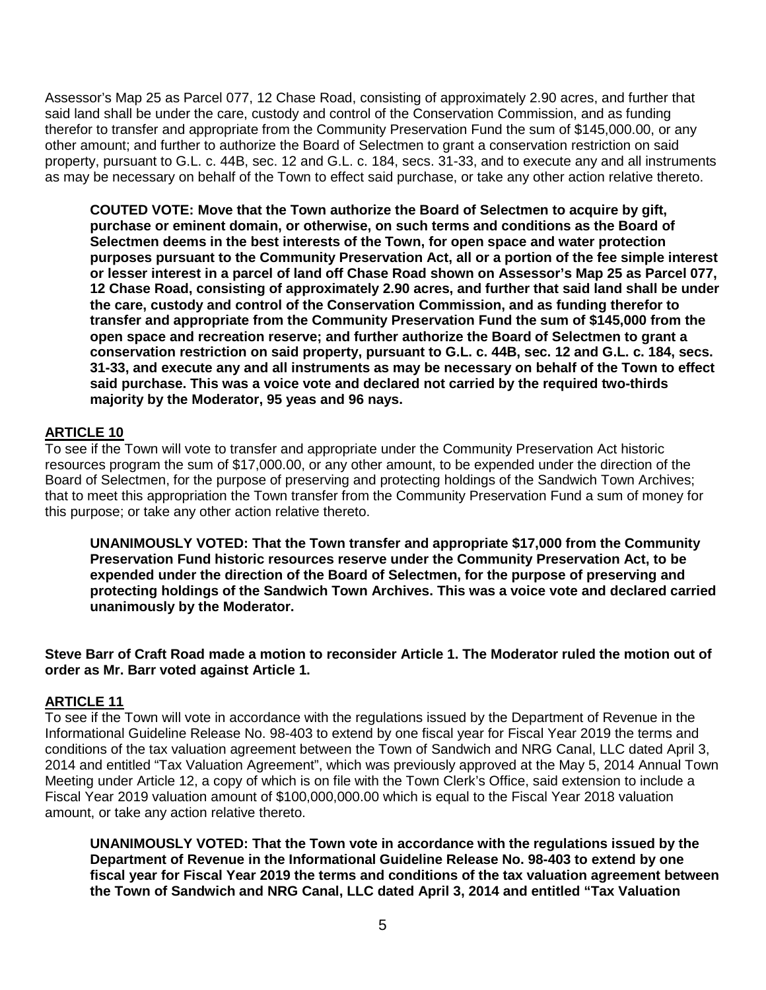Assessor's Map 25 as Parcel 077, 12 Chase Road, consisting of approximately 2.90 acres, and further that said land shall be under the care, custody and control of the Conservation Commission, and as funding therefor to transfer and appropriate from the Community Preservation Fund the sum of \$145,000.00, or any other amount; and further to authorize the Board of Selectmen to grant a conservation restriction on said property, pursuant to G.L. c. 44B, sec. 12 and G.L. c. 184, secs. 31-33, and to execute any and all instruments as may be necessary on behalf of the Town to effect said purchase, or take any other action relative thereto.

**COUTED VOTE: Move that the Town authorize the Board of Selectmen to acquire by gift, purchase or eminent domain, or otherwise, on such terms and conditions as the Board of Selectmen deems in the best interests of the Town, for open space and water protection purposes pursuant to the Community Preservation Act, all or a portion of the fee simple interest or lesser interest in a parcel of land off Chase Road shown on Assessor's Map 25 as Parcel 077, 12 Chase Road, consisting of approximately 2.90 acres, and further that said land shall be under the care, custody and control of the Conservation Commission, and as funding therefor to transfer and appropriate from the Community Preservation Fund the sum of \$145,000 from the open space and recreation reserve; and further authorize the Board of Selectmen to grant a conservation restriction on said property, pursuant to G.L. c. 44B, sec. 12 and G.L. c. 184, secs. 31-33, and execute any and all instruments as may be necessary on behalf of the Town to effect said purchase. This was a voice vote and declared not carried by the required two-thirds majority by the Moderator, 95 yeas and 96 nays.**

## **ARTICLE 10**

To see if the Town will vote to transfer and appropriate under the Community Preservation Act historic resources program the sum of \$17,000.00, or any other amount, to be expended under the direction of the Board of Selectmen, for the purpose of preserving and protecting holdings of the Sandwich Town Archives; that to meet this appropriation the Town transfer from the Community Preservation Fund a sum of money for this purpose; or take any other action relative thereto.

**UNANIMOUSLY VOTED: That the Town transfer and appropriate \$17,000 from the Community Preservation Fund historic resources reserve under the Community Preservation Act, to be expended under the direction of the Board of Selectmen, for the purpose of preserving and protecting holdings of the Sandwich Town Archives. This was a voice vote and declared carried unanimously by the Moderator.**

**Steve Barr of Craft Road made a motion to reconsider Article 1. The Moderator ruled the motion out of order as Mr. Barr voted against Article 1.** 

## **ARTICLE 11**

To see if the Town will vote in accordance with the regulations issued by the Department of Revenue in the Informational Guideline Release No. 98-403 to extend by one fiscal year for Fiscal Year 2019 the terms and conditions of the tax valuation agreement between the Town of Sandwich and NRG Canal, LLC dated April 3, 2014 and entitled "Tax Valuation Agreement", which was previously approved at the May 5, 2014 Annual Town Meeting under Article 12, a copy of which is on file with the Town Clerk's Office, said extension to include a Fiscal Year 2019 valuation amount of \$100,000,000.00 which is equal to the Fiscal Year 2018 valuation amount, or take any action relative thereto.

**UNANIMOUSLY VOTED: That the Town vote in accordance with the regulations issued by the Department of Revenue in the Informational Guideline Release No. 98-403 to extend by one fiscal year for Fiscal Year 2019 the terms and conditions of the tax valuation agreement between the Town of Sandwich and NRG Canal, LLC dated April 3, 2014 and entitled "Tax Valuation**